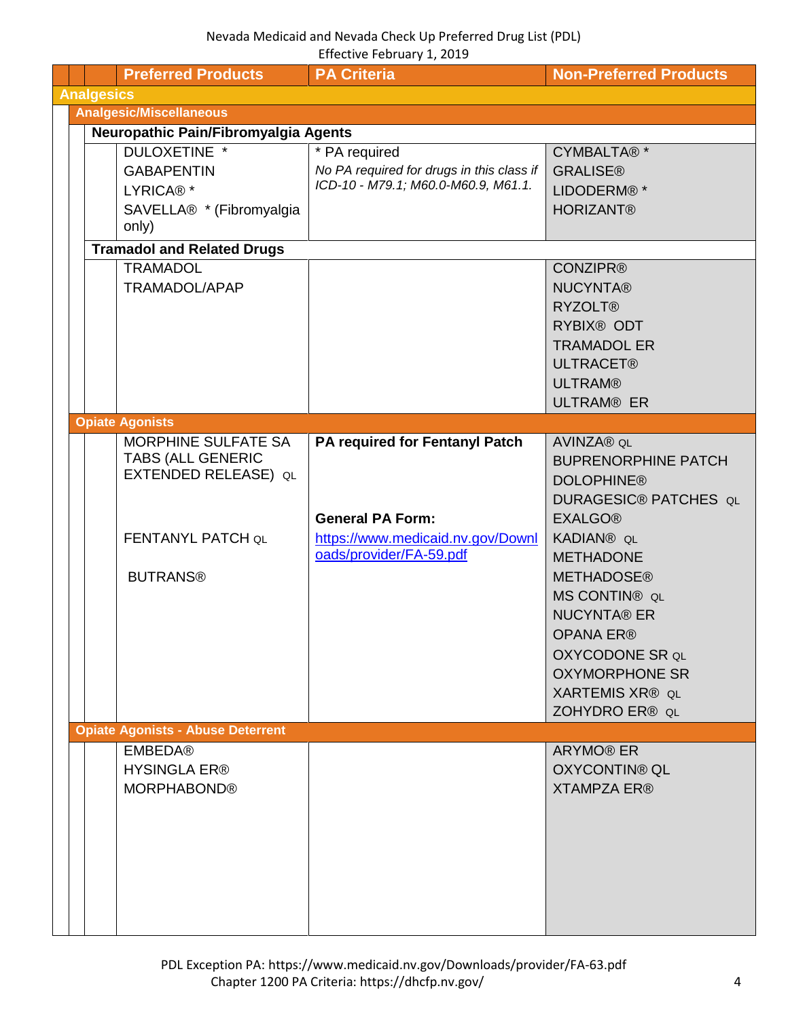<span id="page-3-3"></span><span id="page-3-2"></span><span id="page-3-1"></span><span id="page-3-0"></span>

|                                      |                   | <b>Preferred Products</b>                        | <b>PA Criteria</b>                        | <b>Non-Preferred Products</b>            |
|--------------------------------------|-------------------|--------------------------------------------------|-------------------------------------------|------------------------------------------|
|                                      | <b>Analgesics</b> |                                                  |                                           |                                          |
|                                      |                   | <b>Analgesic/Miscellaneous</b>                   |                                           |                                          |
| Neuropathic Pain/Fibromyalgia Agents |                   |                                                  |                                           |                                          |
|                                      |                   | DULOXETINE *                                     | * PA required                             | CYMBALTA®*                               |
|                                      |                   | <b>GABAPENTIN</b>                                | No PA required for drugs in this class if | <b>GRALISE®</b>                          |
|                                      |                   | LYRICA® <sup>*</sup>                             | ICD-10 - M79.1; M60.0-M60.9, M61.1.       | LIDODERM® <sup>*</sup>                   |
|                                      |                   | SAVELLA® * (Fibromyalgia                         |                                           | <b>HORIZANT®</b>                         |
|                                      |                   | only)                                            |                                           |                                          |
|                                      |                   | <b>Tramadol and Related Drugs</b>                |                                           |                                          |
|                                      |                   | <b>TRAMADOL</b>                                  |                                           | <b>CONZIPR®</b>                          |
|                                      |                   | TRAMADOL/APAP                                    |                                           | <b>NUCYNTA®</b>                          |
|                                      |                   |                                                  |                                           | <b>RYZOLT®</b>                           |
|                                      |                   |                                                  |                                           | <b>RYBIX® ODT</b>                        |
|                                      |                   |                                                  |                                           | <b>TRAMADOL ER</b>                       |
|                                      |                   |                                                  |                                           | <b>ULTRACET®</b>                         |
|                                      |                   |                                                  |                                           |                                          |
|                                      |                   |                                                  |                                           | <b>ULTRAM®</b>                           |
|                                      |                   |                                                  |                                           | <b>ULTRAM® ER</b>                        |
|                                      |                   | <b>Opiate Agonists</b>                           |                                           |                                          |
|                                      |                   | MORPHINE SULFATE SA                              | PA required for Fentanyl Patch            | AVINZA® QL                               |
|                                      |                   | <b>TABS (ALL GENERIC</b><br>EXTENDED RELEASE) QL |                                           | <b>BUPRENORPHINE PATCH</b>               |
|                                      |                   |                                                  |                                           | <b>DOLOPHINE®</b>                        |
|                                      |                   |                                                  |                                           | <b>DURAGESIC® PATCHES QL</b>             |
|                                      |                   |                                                  | <b>General PA Form:</b>                   | <b>EXALGO®</b>                           |
|                                      |                   | FENTANYL PATCH QL                                | https://www.medicaid.nv.gov/Downl         | KADIAN® QL                               |
|                                      |                   |                                                  | oads/provider/FA-59.pdf                   | <b>METHADONE</b>                         |
|                                      |                   | <b>BUTRANS®</b>                                  |                                           | <b>METHADOSE®</b>                        |
|                                      |                   |                                                  |                                           | <b>MS CONTIN® QL</b>                     |
|                                      |                   |                                                  |                                           | <b>NUCYNTA® ER</b>                       |
|                                      |                   |                                                  |                                           | <b>OPANA ER®</b>                         |
|                                      |                   |                                                  |                                           | <b>OXYCODONE SR QL</b>                   |
|                                      |                   |                                                  |                                           | <b>OXYMORPHONE SR</b>                    |
|                                      |                   |                                                  |                                           |                                          |
|                                      |                   |                                                  |                                           | <b>XARTEMIS XR® QL</b><br>ZOHYDRO ER® QL |
|                                      |                   | <b>Opiate Agonists - Abuse Deterrent</b>         |                                           |                                          |
|                                      |                   | <b>EMBEDA®</b>                                   |                                           | ARYMO® ER                                |
|                                      |                   | <b>HYSINGLA ER®</b>                              |                                           | <b>OXYCONTIN® QL</b>                     |
|                                      |                   |                                                  |                                           | <b>XTAMPZA ER®</b>                       |
|                                      |                   | <b>MORPHABOND®</b>                               |                                           |                                          |
|                                      |                   |                                                  |                                           |                                          |
|                                      |                   |                                                  |                                           |                                          |
|                                      |                   |                                                  |                                           |                                          |
|                                      |                   |                                                  |                                           |                                          |
|                                      |                   |                                                  |                                           |                                          |
|                                      |                   |                                                  |                                           |                                          |
|                                      |                   |                                                  |                                           |                                          |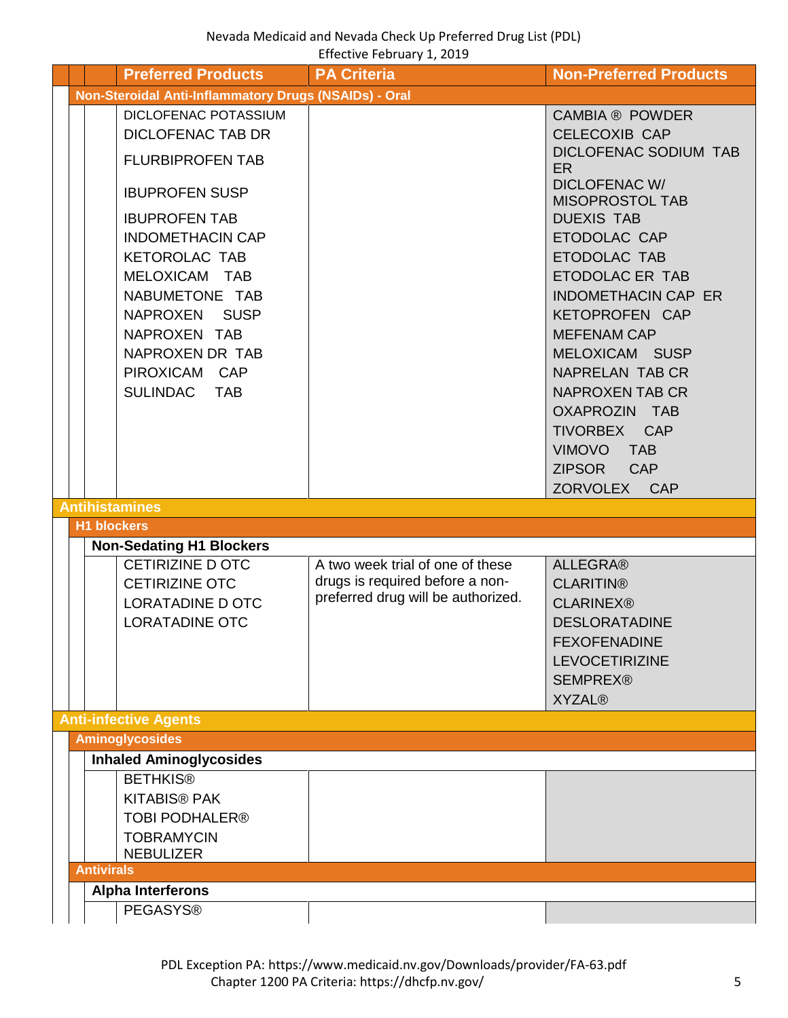<span id="page-4-5"></span><span id="page-4-4"></span><span id="page-4-3"></span><span id="page-4-2"></span><span id="page-4-1"></span><span id="page-4-0"></span>

|  |                   | <b>Preferred Products</b>                                                                                                                                                                       | <b>PA Criteria</b>                                                                                        | <b>Non-Preferred Products</b>                                                                                                                                                                                                                                                                 |
|--|-------------------|-------------------------------------------------------------------------------------------------------------------------------------------------------------------------------------------------|-----------------------------------------------------------------------------------------------------------|-----------------------------------------------------------------------------------------------------------------------------------------------------------------------------------------------------------------------------------------------------------------------------------------------|
|  |                   | Non-Steroidal Anti-Inflammatory Drugs (NSAIDs) - Oral                                                                                                                                           |                                                                                                           |                                                                                                                                                                                                                                                                                               |
|  |                   | DICLOFENAC POTASSIUM<br><b>DICLOFENAC TAB DR</b><br><b>FLURBIPROFEN TAB</b>                                                                                                                     |                                                                                                           | <b>CAMBIA ® POWDER</b><br><b>CELECOXIB CAP</b><br><b>DICLOFENAC SODIUM TAB</b>                                                                                                                                                                                                                |
|  |                   | <b>IBUPROFEN SUSP</b>                                                                                                                                                                           |                                                                                                           | <b>ER</b><br><b>DICLOFENAC W/</b><br><b>MISOPROSTOL TAB</b>                                                                                                                                                                                                                                   |
|  |                   | <b>IBUPROFEN TAB</b><br><b>INDOMETHACIN CAP</b><br><b>KETOROLAC TAB</b><br>MELOXICAM TAB<br>NABUMETONE TAB<br>NAPROXEN SUSP<br>NAPROXEN TAB<br>NAPROXEN DR TAB<br>PIROXICAM CAP<br>SULINDAC TAB |                                                                                                           | <b>DUEXIS TAB</b><br>ETODOLAC CAP<br>ETODOLAC TAB<br>ETODOLAC ER TAB<br><b>INDOMETHACIN CAP ER</b><br>KETOPROFEN CAP<br><b>MEFENAM CAP</b><br>MELOXICAM SUSP<br><b>NAPRELAN TAB CR</b><br><b>NAPROXEN TAB CR</b><br>OXAPROZIN TAB<br>TIVORBEX CAP<br>VIMOVO TAB<br>ZIPSOR CAP<br>ZORVOLEX CAP |
|  |                   | <b>Antihistamines</b>                                                                                                                                                                           |                                                                                                           |                                                                                                                                                                                                                                                                                               |
|  |                   | <b>H1 blockers</b>                                                                                                                                                                              |                                                                                                           |                                                                                                                                                                                                                                                                                               |
|  |                   | <b>Non-Sedating H1 Blockers</b><br><b>CETIRIZINE D OTC</b><br><b>CETIRIZINE OTC</b><br><b>LORATADINE D OTC</b><br><b>LORATADINE OTC</b>                                                         | A two week trial of one of these<br>drugs is required before a non-<br>preferred drug will be authorized. | <b>ALLEGRA®</b><br><b>CLARITIN®</b><br><b>CLARINEX®</b><br><b>DESLORATADINE</b><br><b>FEXOFENADINE</b><br><b>LEVOCETIRIZINE</b><br><b>SEMPREX®</b><br><b>XYZAL®</b>                                                                                                                           |
|  |                   | <b>Anti-infective Agents</b>                                                                                                                                                                    |                                                                                                           |                                                                                                                                                                                                                                                                                               |
|  |                   | <b>Aminoglycosides</b><br><b>Inhaled Aminoglycosides</b>                                                                                                                                        |                                                                                                           |                                                                                                                                                                                                                                                                                               |
|  |                   | <b>BETHKIS®</b><br><b>KITABIS® PAK</b>                                                                                                                                                          |                                                                                                           |                                                                                                                                                                                                                                                                                               |
|  |                   | <b>TOBI PODHALER®</b><br><b>TOBRAMYCIN</b><br><b>NEBULIZER</b>                                                                                                                                  |                                                                                                           |                                                                                                                                                                                                                                                                                               |
|  | <b>Antivirals</b> |                                                                                                                                                                                                 |                                                                                                           |                                                                                                                                                                                                                                                                                               |
|  |                   | <b>Alpha Interferons</b>                                                                                                                                                                        |                                                                                                           |                                                                                                                                                                                                                                                                                               |
|  |                   | <b>PEGASYS®</b>                                                                                                                                                                                 |                                                                                                           |                                                                                                                                                                                                                                                                                               |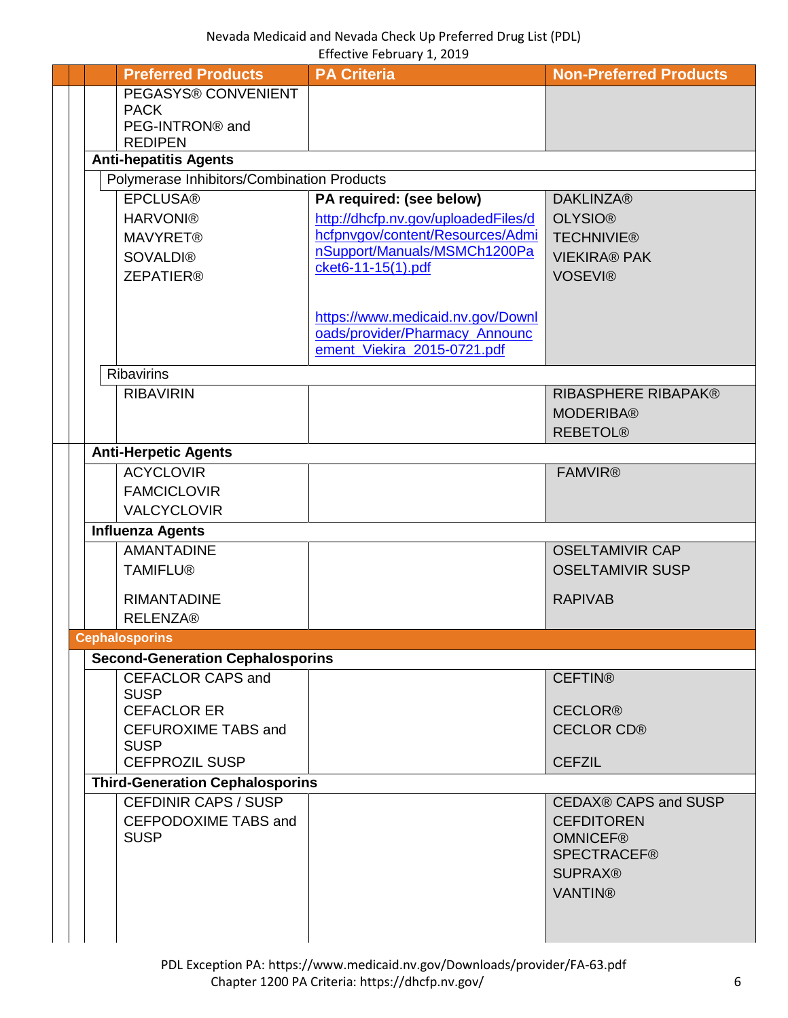<span id="page-5-0"></span>

|  | <b>Preferred Products</b>                  | <b>PA Criteria</b>                                                      | <b>Non-Preferred Products</b>      |
|--|--------------------------------------------|-------------------------------------------------------------------------|------------------------------------|
|  | PEGASYS® CONVENIENT                        |                                                                         |                                    |
|  | <b>PACK</b>                                |                                                                         |                                    |
|  | PEG-INTRON® and                            |                                                                         |                                    |
|  | <b>REDIPEN</b>                             |                                                                         |                                    |
|  | <b>Anti-hepatitis Agents</b>               |                                                                         |                                    |
|  | Polymerase Inhibitors/Combination Products |                                                                         |                                    |
|  | <b>EPCLUSA®</b>                            | PA required: (see below)                                                | <b>DAKLINZA®</b><br><b>OLYSIO®</b> |
|  | <b>HARVONI®</b><br><b>MAVYRET®</b>         | http://dhcfp.nv.gov/uploadedFiles/d<br>hcfpnvgov/content/Resources/Admi | <b>TECHNIVIE®</b>                  |
|  | <b>SOVALDI®</b>                            | nSupport/Manuals/MSMCh1200Pa                                            | <b>VIEKIRA® PAK</b>                |
|  | <b>ZEPATIER®</b>                           | cket6-11-15(1).pdf                                                      | <b>VOSEVI®</b>                     |
|  |                                            |                                                                         |                                    |
|  |                                            | https://www.medicaid.nv.gov/Downl                                       |                                    |
|  |                                            | oads/provider/Pharmacy_Announc                                          |                                    |
|  |                                            | ement_Viekira_2015-0721.pdf                                             |                                    |
|  | <b>Ribavirins</b>                          |                                                                         |                                    |
|  | <b>RIBAVIRIN</b>                           |                                                                         | <b>RIBASPHERE RIBAPAK®</b>         |
|  |                                            |                                                                         | <b>MODERIBA®</b>                   |
|  |                                            |                                                                         | <b>REBETOL®</b>                    |
|  | <b>Anti-Herpetic Agents</b>                |                                                                         |                                    |
|  | <b>ACYCLOVIR</b>                           |                                                                         | <b>FAMVIR®</b>                     |
|  | <b>FAMCICLOVIR</b>                         |                                                                         |                                    |
|  | <b>VALCYCLOVIR</b>                         |                                                                         |                                    |
|  | <b>Influenza Agents</b>                    |                                                                         |                                    |
|  | <b>AMANTADINE</b>                          |                                                                         | <b>OSELTAMIVIR CAP</b>             |
|  | <b>TAMIFLU®</b>                            |                                                                         | <b>OSELTAMIVIR SUSP</b>            |
|  | <b>RIMANTADINE</b>                         |                                                                         | <b>RAPIVAB</b>                     |
|  | <b>RELENZA®</b>                            |                                                                         |                                    |
|  | <b>Cephalosporins</b>                      |                                                                         |                                    |
|  | <b>Second-Generation Cephalosporins</b>    |                                                                         |                                    |
|  | <b>CEFACLOR CAPS and</b>                   |                                                                         | <b>CEFTIN®</b>                     |
|  | <b>SUSP</b>                                |                                                                         |                                    |
|  | <b>CEFACLOR ER</b>                         |                                                                         | <b>CECLOR®</b>                     |
|  | <b>CEFUROXIME TABS and</b>                 |                                                                         | <b>CECLOR CD®</b>                  |
|  | <b>SUSP</b><br><b>CEFPROZIL SUSP</b>       |                                                                         | <b>CEFZIL</b>                      |
|  | <b>Third-Generation Cephalosporins</b>     |                                                                         |                                    |
|  | <b>CEFDINIR CAPS / SUSP</b>                |                                                                         | <b>CEDAX® CAPS and SUSP</b>        |
|  | CEFPODOXIME TABS and                       |                                                                         | <b>CEFDITOREN</b>                  |
|  | <b>SUSP</b>                                |                                                                         | <b>OMNICEF®</b>                    |
|  |                                            |                                                                         | <b>SPECTRACEF®</b>                 |
|  |                                            |                                                                         | <b>SUPRAX®</b>                     |
|  |                                            |                                                                         | <b>VANTIN®</b>                     |
|  |                                            |                                                                         |                                    |
|  |                                            |                                                                         |                                    |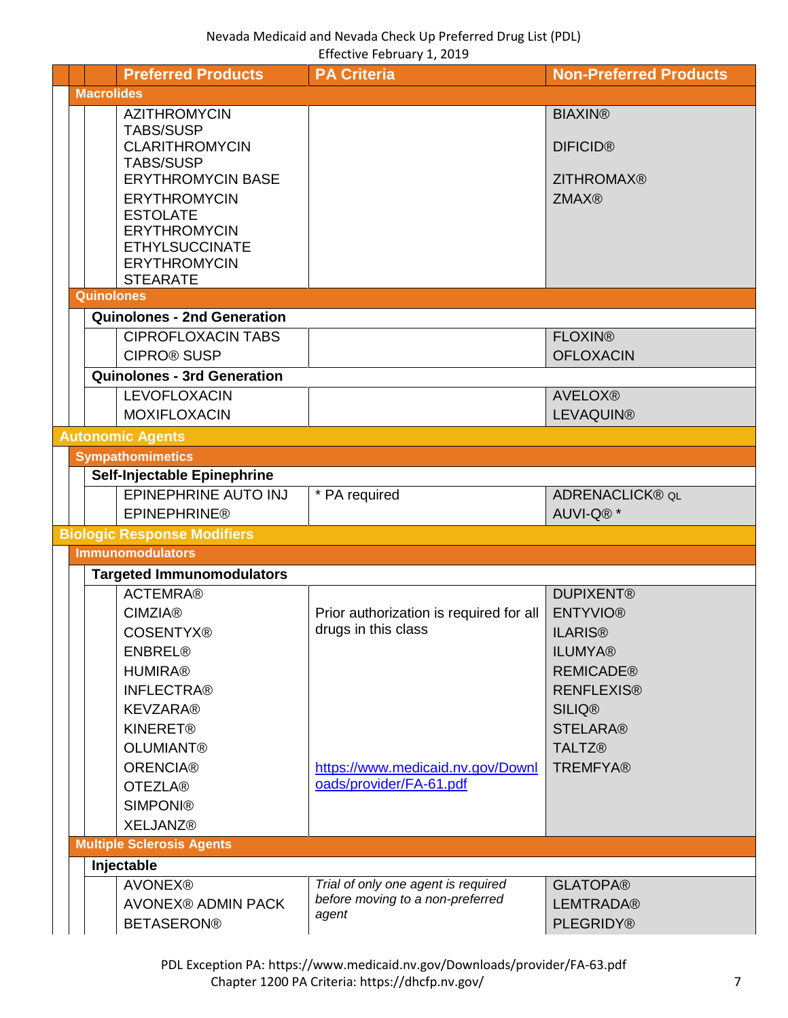<span id="page-6-6"></span><span id="page-6-5"></span><span id="page-6-4"></span><span id="page-6-3"></span><span id="page-6-2"></span><span id="page-6-1"></span><span id="page-6-0"></span>

|                   | <b>Preferred Products</b>                                                                 | <b>PA Criteria</b>                                             | <b>Non-Preferred Products</b>         |
|-------------------|-------------------------------------------------------------------------------------------|----------------------------------------------------------------|---------------------------------------|
| <b>Macrolides</b> |                                                                                           |                                                                |                                       |
|                   | <b>AZITHROMYCIN</b><br><b>TABS/SUSP</b><br><b>CLARITHROMYCIN</b>                          |                                                                | <b>BIAXIN®</b><br><b>DIFICID®</b>     |
|                   | <b>TABS/SUSP</b>                                                                          |                                                                |                                       |
|                   | <b>ERYTHROMYCIN BASE</b><br><b>ERYTHROMYCIN</b><br><b>ESTOLATE</b><br><b>ERYTHROMYCIN</b> |                                                                | <b>ZITHROMAX®</b><br><b>ZMAX®</b>     |
|                   | <b>ETHYLSUCCINATE</b><br><b>ERYTHROMYCIN</b><br><b>STEARATE</b>                           |                                                                |                                       |
| <b>Quinolones</b> |                                                                                           |                                                                |                                       |
|                   | <b>Quinolones - 2nd Generation</b>                                                        |                                                                |                                       |
|                   | <b>CIPROFLOXACIN TABS</b><br><b>CIPRO® SUSP</b>                                           |                                                                | <b>FLOXIN®</b><br><b>OFLOXACIN</b>    |
|                   | <b>Quinolones - 3rd Generation</b>                                                        |                                                                |                                       |
|                   | <b>LEVOFLOXACIN</b><br><b>MOXIFLOXACIN</b>                                                |                                                                | <b>AVELOX®</b><br><b>LEVAQUIN®</b>    |
|                   | <b>Autonomic Agents</b>                                                                   |                                                                |                                       |
|                   | <b>Sympathomimetics</b>                                                                   |                                                                |                                       |
|                   | Self-Injectable Epinephrine                                                               |                                                                |                                       |
|                   | EPINEPHRINE AUTO INJ<br><b>EPINEPHRINE®</b>                                               | * PA required                                                  | <b>ADRENACLICK® QL</b><br>AUVI-Q®*    |
|                   | <b>Biologic Response Modifiers</b>                                                        |                                                                |                                       |
|                   | <b>Immunomodulators</b>                                                                   |                                                                |                                       |
|                   | <b>Targeted Immunomodulators</b>                                                          |                                                                |                                       |
|                   | <b>ACTEMRA®</b>                                                                           |                                                                | <b>DUPIXENT®</b>                      |
|                   | <b>CIMZIA®</b><br><b>COSENTYX®</b>                                                        | Prior authorization is required for all<br>drugs in this class | <b>ENTYVIO®</b><br><b>ILARIS®</b>     |
|                   | <b>ENBREL®</b>                                                                            |                                                                | <b>ILUMYA®</b>                        |
|                   | <b>HUMIRA®</b><br><b>INFLECTRA®</b>                                                       |                                                                | <b>REMICADE®</b><br><b>RENFLEXIS®</b> |
|                   | <b>KEVZARA®</b>                                                                           |                                                                | <b>SILIQ®</b>                         |
|                   | <b>KINERET®</b>                                                                           |                                                                | <b>STELARA®</b>                       |
|                   | <b>OLUMIANT®</b>                                                                          |                                                                | <b>TALTZ®</b>                         |
|                   | <b>ORENCIA®</b>                                                                           | https://www.medicaid.nv.gov/Downl                              | <b>TREMFYA®</b>                       |
|                   | <b>OTEZLA®</b>                                                                            | oads/provider/FA-61.pdf                                        |                                       |
|                   | <b>SIMPONI®</b><br><b>XELJANZ®</b>                                                        |                                                                |                                       |
|                   | <b>Multiple Sclerosis Agents</b>                                                          |                                                                |                                       |
|                   | Injectable                                                                                |                                                                |                                       |
|                   | <b>AVONEX®</b>                                                                            | Trial of only one agent is required                            | <b>GLATOPA®</b>                       |
|                   | <b>AVONEX® ADMIN PACK</b>                                                                 | before moving to a non-preferred<br>agent                      | <b>LEMTRADA®</b>                      |
|                   | <b>BETASERON®</b>                                                                         |                                                                | <b>PLEGRIDY®</b>                      |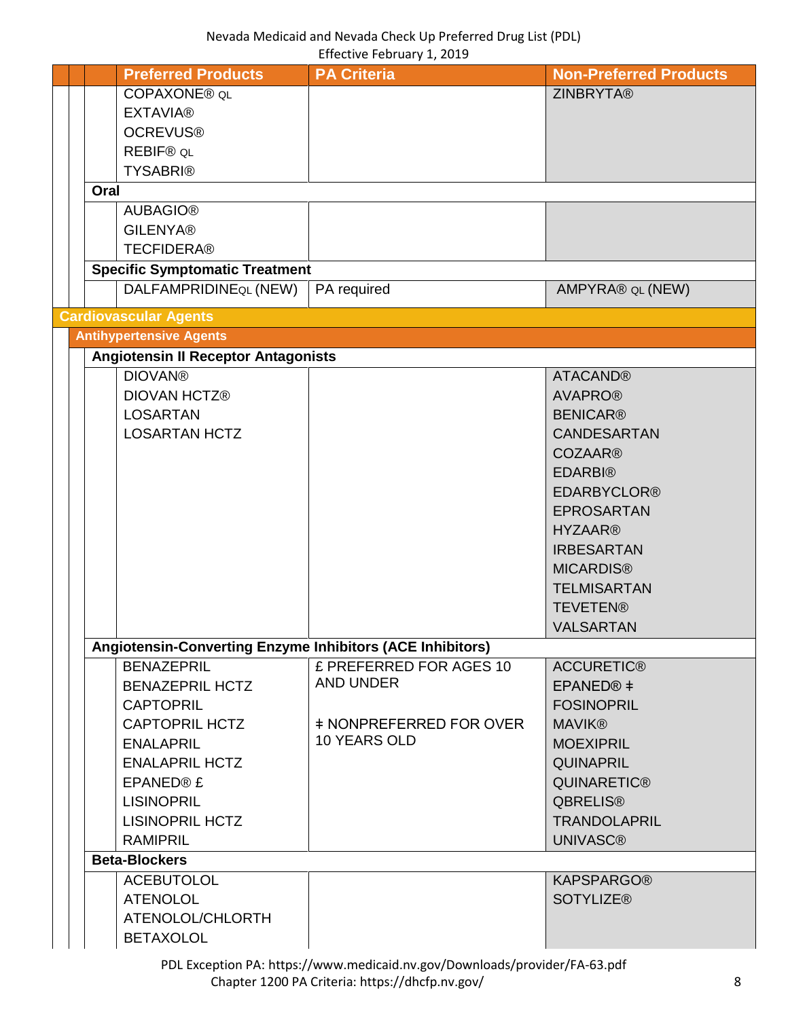<span id="page-7-1"></span><span id="page-7-0"></span>

|      | <b>Preferred Products</b>                                        | <b>PA Criteria</b>             | <b>Non-Preferred Products</b> |
|------|------------------------------------------------------------------|--------------------------------|-------------------------------|
|      | COPAXONE® QL                                                     |                                | <b>ZINBRYTA®</b>              |
|      | <b>EXTAVIA®</b>                                                  |                                |                               |
|      | <b>OCREVUS®</b>                                                  |                                |                               |
|      | <b>REBIF® QL</b>                                                 |                                |                               |
|      | <b>TYSABRI®</b>                                                  |                                |                               |
| Oral |                                                                  |                                |                               |
|      | <b>AUBAGIO®</b>                                                  |                                |                               |
|      | <b>GILENYA®</b>                                                  |                                |                               |
|      | <b>TECFIDERA®</b>                                                |                                |                               |
|      | <b>Specific Symptomatic Treatment</b>                            |                                |                               |
|      | DALFAMPRIDINEQL (NEW)                                            | PA required                    | AMPYRA® QL (NEW)              |
|      | <b>Cardiovascular Agents</b>                                     |                                |                               |
|      | <b>Antihypertensive Agents</b>                                   |                                |                               |
|      | <b>Angiotensin II Receptor Antagonists</b>                       |                                |                               |
|      | <b>DIOVAN®</b>                                                   |                                | <b>ATACAND®</b>               |
|      | <b>DIOVAN HCTZ®</b>                                              |                                | <b>AVAPRO®</b>                |
|      | <b>LOSARTAN</b>                                                  |                                | <b>BENICAR®</b>               |
|      | <b>LOSARTAN HCTZ</b>                                             |                                | <b>CANDESARTAN</b>            |
|      |                                                                  |                                | <b>COZAAR®</b>                |
|      |                                                                  |                                | <b>EDARBI®</b>                |
|      |                                                                  |                                | <b>EDARBYCLOR®</b>            |
|      |                                                                  |                                | <b>EPROSARTAN</b>             |
|      |                                                                  |                                | <b>HYZAAR®</b>                |
|      |                                                                  |                                | <b>IRBESARTAN</b>             |
|      |                                                                  |                                | <b>MICARDIS®</b>              |
|      |                                                                  |                                | <b>TELMISARTAN</b>            |
|      |                                                                  |                                | <b>TEVETEN®</b>               |
|      |                                                                  |                                | <b>VALSARTAN</b>              |
|      | <b>Angiotensin-Converting Enzyme Inhibitors (ACE Inhibitors)</b> |                                |                               |
|      | <b>BENAZEPRIL</b>                                                | £ PREFERRED FOR AGES 10        | <b>ACCURETIC®</b>             |
|      | <b>BENAZEPRIL HCTZ</b>                                           | <b>AND UNDER</b>               | EPANED <sup>®</sup> ‡         |
|      | <b>CAPTOPRIL</b>                                                 |                                | <b>FOSINOPRIL</b>             |
|      | <b>CAPTOPRIL HCTZ</b>                                            | <b>‡ NONPREFERRED FOR OVER</b> | <b>MAVIK®</b>                 |
|      | <b>ENALAPRIL</b>                                                 | 10 YEARS OLD                   | <b>MOEXIPRIL</b>              |
|      | <b>ENALAPRIL HCTZ</b>                                            |                                | <b>QUINAPRIL</b>              |
|      | EPANED® £                                                        |                                | <b>QUINARETIC®</b>            |
|      | <b>LISINOPRIL</b>                                                |                                | <b>QBRELIS®</b>               |
|      | <b>LISINOPRIL HCTZ</b>                                           |                                | <b>TRANDOLAPRIL</b>           |
|      | <b>RAMIPRIL</b>                                                  |                                | <b>UNIVASC®</b>               |
|      | <b>Beta-Blockers</b>                                             |                                |                               |
|      | <b>ACEBUTOLOL</b>                                                |                                | <b>KAPSPARGO®</b>             |
|      | <b>ATENOLOL</b>                                                  |                                | <b>SOTYLIZE®</b>              |
|      | ATENOLOL/CHLORTH                                                 |                                |                               |
|      | <b>BETAXOLOL</b>                                                 |                                |                               |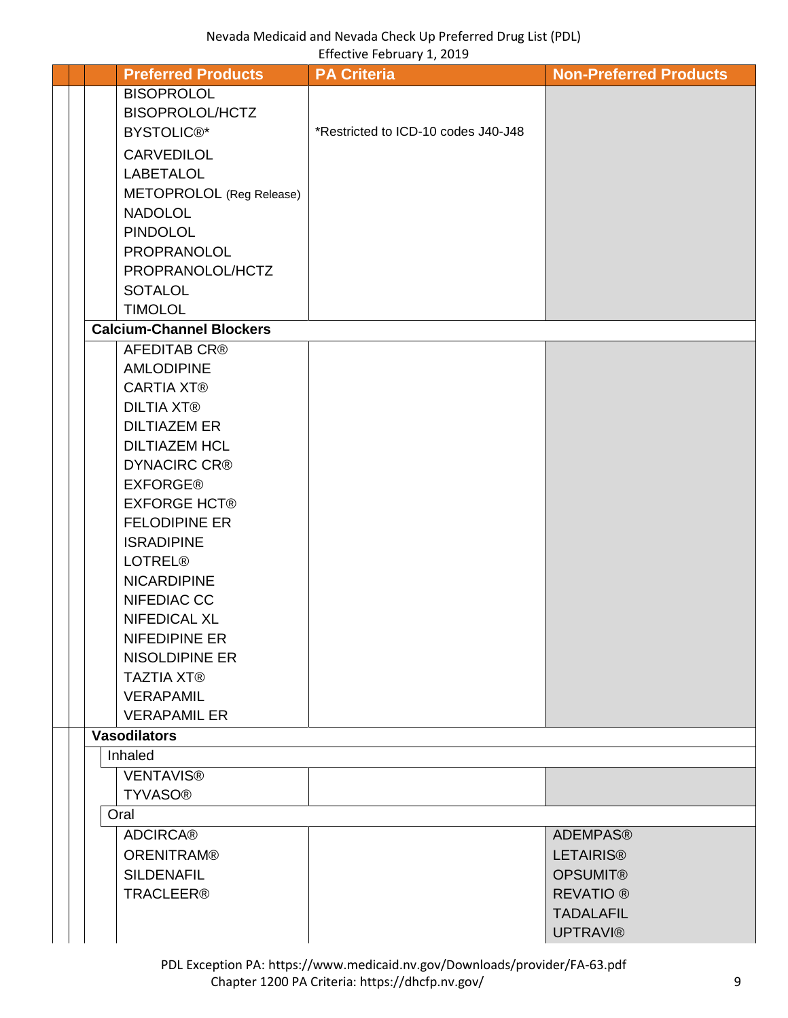|  | <b>Preferred Products</b>                 | <b>PA Criteria</b>                  | <b>Non-Preferred Products</b> |
|--|-------------------------------------------|-------------------------------------|-------------------------------|
|  | <b>BISOPROLOL</b>                         |                                     |                               |
|  | BISOPROLOL/HCTZ                           |                                     |                               |
|  | <b>BYSTOLIC®*</b>                         | *Restricted to ICD-10 codes J40-J48 |                               |
|  | <b>CARVEDILOL</b>                         |                                     |                               |
|  | <b>LABETALOL</b>                          |                                     |                               |
|  | METOPROLOL (Reg Release)                  |                                     |                               |
|  | <b>NADOLOL</b>                            |                                     |                               |
|  | <b>PINDOLOL</b>                           |                                     |                               |
|  | PROPRANOLOL                               |                                     |                               |
|  | PROPRANOLOL/HCTZ                          |                                     |                               |
|  | <b>SOTALOL</b>                            |                                     |                               |
|  | <b>TIMOLOL</b>                            |                                     |                               |
|  | <b>Calcium-Channel Blockers</b>           |                                     |                               |
|  | <b>AFEDITAB CR®</b>                       |                                     |                               |
|  | <b>AMLODIPINE</b>                         |                                     |                               |
|  | <b>CARTIA XT®</b>                         |                                     |                               |
|  | <b>DILTIA XT®</b>                         |                                     |                               |
|  | <b>DILTIAZEM ER</b>                       |                                     |                               |
|  | <b>DILTIAZEM HCL</b>                      |                                     |                               |
|  | <b>DYNACIRC CR®</b>                       |                                     |                               |
|  | <b>EXFORGE®</b>                           |                                     |                               |
|  | <b>EXFORGE HCT®</b>                       |                                     |                               |
|  | <b>FELODIPINE ER</b><br><b>ISRADIPINE</b> |                                     |                               |
|  | <b>LOTREL®</b>                            |                                     |                               |
|  | <b>NICARDIPINE</b>                        |                                     |                               |
|  | NIFEDIAC CC                               |                                     |                               |
|  | <b>NIFEDICAL XL</b>                       |                                     |                               |
|  | NIFEDIPINE ER                             |                                     |                               |
|  | <b>NISOLDIPINE ER</b>                     |                                     |                               |
|  | <b>TAZTIA XT®</b>                         |                                     |                               |
|  | <b>VERAPAMIL</b>                          |                                     |                               |
|  | <b>VERAPAMIL ER</b>                       |                                     |                               |
|  | <b>Vasodilators</b>                       |                                     |                               |
|  | Inhaled                                   |                                     |                               |
|  | <b>VENTAVIS®</b>                          |                                     |                               |
|  | <b>TYVASO®</b>                            |                                     |                               |
|  | Oral                                      |                                     |                               |
|  | <b>ADCIRCA®</b>                           |                                     | <b>ADEMPAS®</b>               |
|  | <b>ORENITRAM®</b>                         |                                     | <b>LETAIRIS®</b>              |
|  | <b>SILDENAFIL</b>                         |                                     | <b>OPSUMIT®</b>               |
|  | <b>TRACLEER®</b>                          |                                     | <b>REVATIO</b> <sup>®</sup>   |
|  |                                           |                                     | <b>TADALAFIL</b>              |
|  |                                           |                                     | <b>UPTRAVI®</b>               |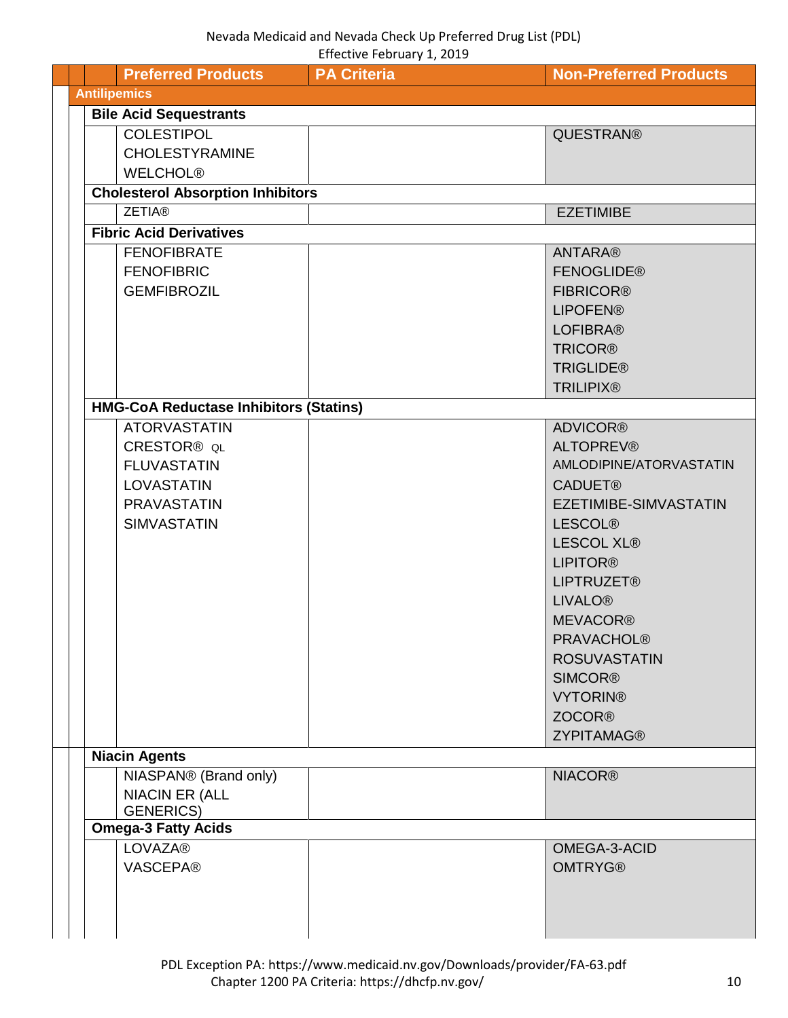<span id="page-9-0"></span>

| <b>Preferred Products</b>                     | <b>PA Criteria</b> | <b>Non-Preferred Products</b> |
|-----------------------------------------------|--------------------|-------------------------------|
| <b>Antilipemics</b>                           |                    |                               |
| <b>Bile Acid Sequestrants</b>                 |                    |                               |
| <b>COLESTIPOL</b>                             |                    | QUESTRAN®                     |
| <b>CHOLESTYRAMINE</b>                         |                    |                               |
|                                               |                    |                               |
| <b>WELCHOL®</b>                               |                    |                               |
| <b>Cholesterol Absorption Inhibitors</b>      |                    |                               |
| <b>ZETIA®</b>                                 |                    | <b>EZETIMIBE</b>              |
| <b>Fibric Acid Derivatives</b>                |                    |                               |
| <b>FENOFIBRATE</b>                            |                    | <b>ANTARA®</b>                |
| <b>FENOFIBRIC</b>                             |                    | <b>FENOGLIDE®</b>             |
| <b>GEMFIBROZIL</b>                            |                    | <b>FIBRICOR®</b>              |
|                                               |                    | <b>LIPOFEN®</b>               |
|                                               |                    | <b>LOFIBRA®</b>               |
|                                               |                    | <b>TRICOR®</b>                |
|                                               |                    | <b>TRIGLIDE®</b>              |
|                                               |                    | <b>TRILIPIX®</b>              |
| <b>HMG-CoA Reductase Inhibitors (Statins)</b> |                    |                               |
| <b>ATORVASTATIN</b>                           |                    | <b>ADVICOR®</b>               |
| CRESTOR <sup>®</sup> QL                       |                    | <b>ALTOPREV®</b>              |
| <b>FLUVASTATIN</b>                            |                    | AMLODIPINE/ATORVASTATIN       |
| <b>LOVASTATIN</b>                             |                    | <b>CADUET®</b>                |
| <b>PRAVASTATIN</b>                            |                    | EZETIMIBE-SIMVASTATIN         |
| <b>SIMVASTATIN</b>                            |                    | <b>LESCOL®</b>                |
|                                               |                    | <b>LESCOL XL®</b>             |
|                                               |                    | <b>LIPITOR®</b>               |
|                                               |                    | <b>LIPTRUZET®</b>             |
|                                               |                    | <b>LIVALO®</b>                |
|                                               |                    | <b>MEVACOR®</b>               |
|                                               |                    | <b>PRAVACHOL®</b>             |
|                                               |                    | <b>ROSUVASTATIN</b>           |
|                                               |                    | <b>SIMCOR®</b>                |
|                                               |                    | <b>VYTORIN®</b>               |
|                                               |                    | <b>ZOCOR®</b>                 |
|                                               |                    | <b>ZYPITAMAG®</b>             |
| <b>Niacin Agents</b>                          |                    |                               |
| NIASPAN® (Brand only)                         |                    | <b>NIACOR®</b>                |
| <b>NIACIN ER (ALL</b>                         |                    |                               |
| <b>GENERICS)</b>                              |                    |                               |
| <b>Omega-3 Fatty Acids</b>                    |                    |                               |
| <b>LOVAZA®</b>                                |                    | OMEGA-3-ACID                  |
| <b>VASCEPA®</b>                               |                    | <b>OMTRYG®</b>                |
|                                               |                    |                               |
|                                               |                    |                               |
|                                               |                    |                               |
|                                               |                    |                               |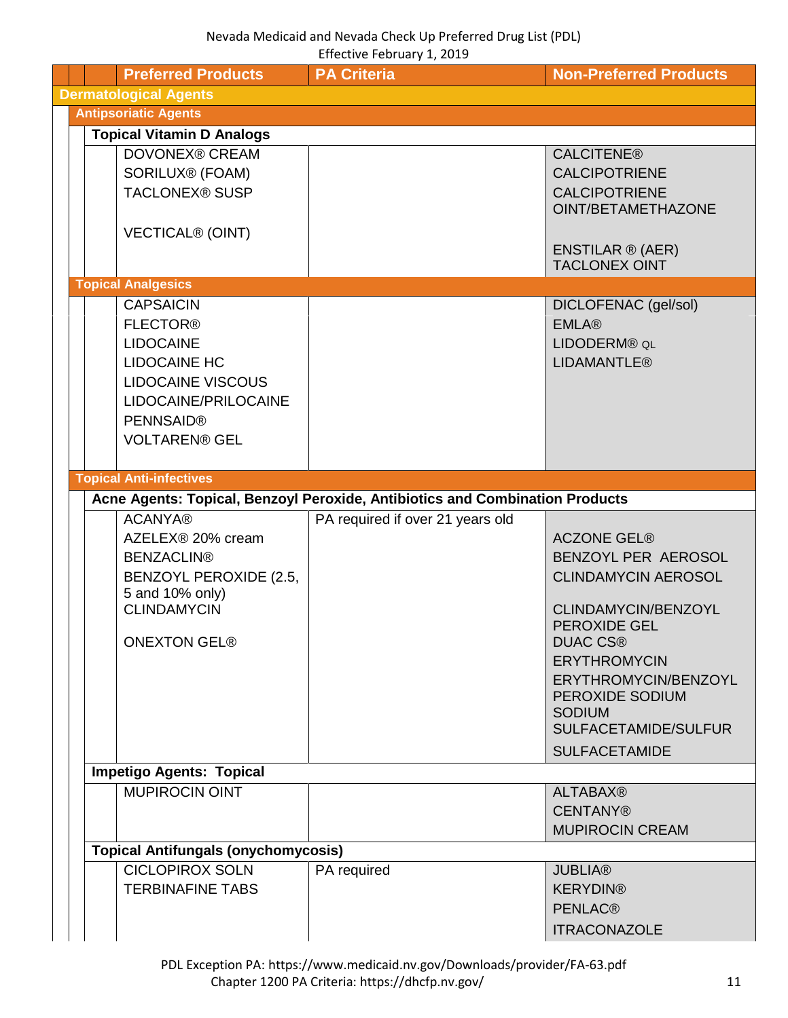<span id="page-10-3"></span><span id="page-10-2"></span><span id="page-10-1"></span><span id="page-10-0"></span>

|  | <b>Preferred Products</b>                                                                                                                                                      | <b>PA Criteria</b>                                                           | <b>Non-Preferred Products</b>                                                                                                                                   |
|--|--------------------------------------------------------------------------------------------------------------------------------------------------------------------------------|------------------------------------------------------------------------------|-----------------------------------------------------------------------------------------------------------------------------------------------------------------|
|  | <b>Dermatological Agents</b>                                                                                                                                                   |                                                                              |                                                                                                                                                                 |
|  | <b>Antipsoriatic Agents</b>                                                                                                                                                    |                                                                              |                                                                                                                                                                 |
|  | <b>Topical Vitamin D Analogs</b>                                                                                                                                               |                                                                              |                                                                                                                                                                 |
|  | <b>DOVONEX® CREAM</b><br>SORILUX® (FOAM)<br><b>TACLONEX® SUSP</b>                                                                                                              |                                                                              | <b>CALCITENE®</b><br><b>CALCIPOTRIENE</b><br><b>CALCIPOTRIENE</b><br>OINT/BETAMETHAZONE                                                                         |
|  | <b>VECTICAL® (OINT)</b>                                                                                                                                                        |                                                                              | ENSTILAR ® (AER)<br><b>TACLONEX OINT</b>                                                                                                                        |
|  | <b>Topical Analgesics</b>                                                                                                                                                      |                                                                              |                                                                                                                                                                 |
|  | <b>CAPSAICIN</b><br><b>FLECTOR®</b><br><b>LIDOCAINE</b><br><b>LIDOCAINE HC</b><br><b>LIDOCAINE VISCOUS</b><br>LIDOCAINE/PRILOCAINE<br><b>PENNSAID®</b><br><b>VOLTAREN® GEL</b> |                                                                              | DICLOFENAC (gel/sol)<br><b>EMLA®</b><br>LIDODERM® QL<br><b>LIDAMANTLE®</b>                                                                                      |
|  | <b>Topical Anti-infectives</b>                                                                                                                                                 |                                                                              |                                                                                                                                                                 |
|  |                                                                                                                                                                                | Acne Agents: Topical, Benzoyl Peroxide, Antibiotics and Combination Products |                                                                                                                                                                 |
|  | <b>ACANYA®</b><br>AZELEX® 20% cream<br><b>BENZACLIN®</b><br>BENZOYL PEROXIDE (2.5,<br>5 and 10% only)<br><b>CLINDAMYCIN</b><br><b>ONEXTON GEL®</b>                             | PA required if over 21 years old                                             | <b>ACZONE GEL®</b><br>BENZOYL PER AEROSOL<br><b>CLINDAMYCIN AEROSOL</b><br>CLINDAMYCIN/BENZOYL<br><b>PEROXIDE GEL</b><br><b>DUAC CS®</b><br><b>ERYTHROMYCIN</b> |
|  |                                                                                                                                                                                |                                                                              | ERYTHROMYCIN/BENZOYL<br>PEROXIDE SODIUM<br><b>SODIUM</b><br>SULFACETAMIDE/SULFUR<br><b>SULFACETAMIDE</b>                                                        |
|  | <b>Impetigo Agents: Topical</b>                                                                                                                                                |                                                                              |                                                                                                                                                                 |
|  | <b>MUPIROCIN OINT</b>                                                                                                                                                          |                                                                              | <b>ALTABAX®</b><br><b>CENTANY®</b><br><b>MUPIROCIN CREAM</b>                                                                                                    |
|  | <b>Topical Antifungals (onychomycosis)</b>                                                                                                                                     |                                                                              |                                                                                                                                                                 |
|  | <b>CICLOPIROX SOLN</b><br><b>TERBINAFINE TABS</b>                                                                                                                              | PA required                                                                  | <b>JUBLIA®</b><br><b>KERYDIN®</b><br><b>PENLAC®</b><br><b>ITRACONAZOLE</b>                                                                                      |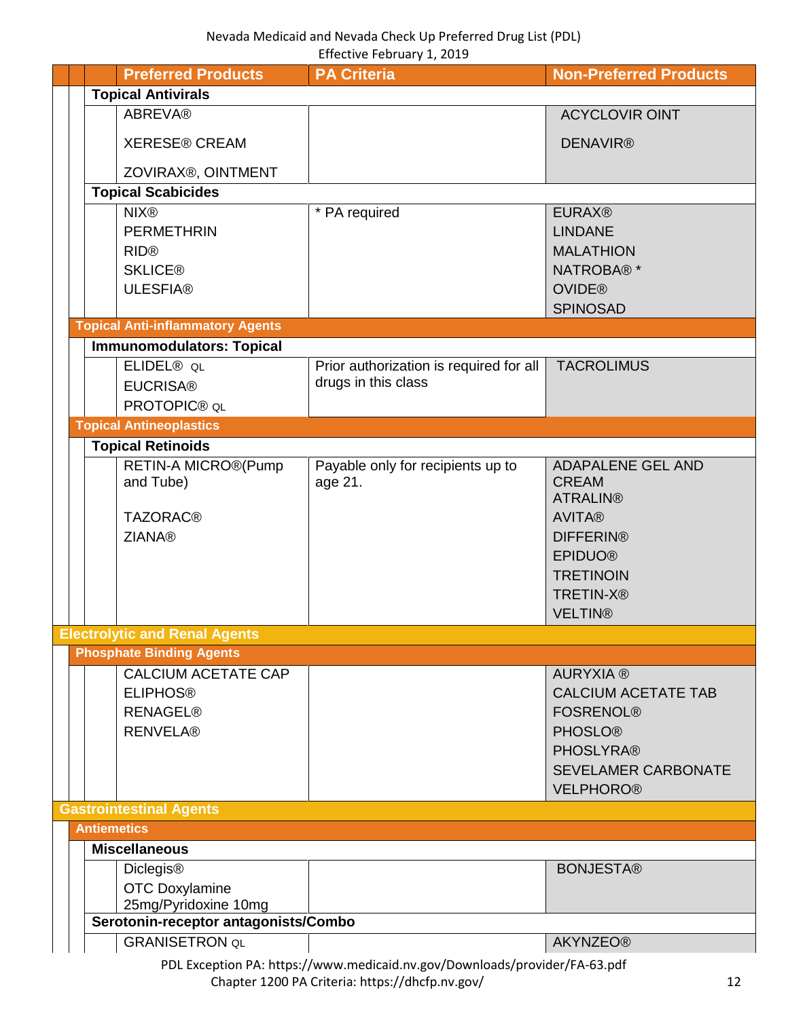<span id="page-11-1"></span><span id="page-11-0"></span>

|  | <b>Preferred Products</b>               | <b>PA Criteria</b>                                                         | <b>Non-Preferred Products</b> |
|--|-----------------------------------------|----------------------------------------------------------------------------|-------------------------------|
|  | <b>Topical Antivirals</b>               |                                                                            |                               |
|  | <b>ABREVA®</b>                          |                                                                            | <b>ACYCLOVIR OINT</b>         |
|  |                                         |                                                                            |                               |
|  | <b>XERESE® CREAM</b>                    |                                                                            | <b>DENAVIR®</b>               |
|  | ZOVIRAX®, OINTMENT                      |                                                                            |                               |
|  | <b>Topical Scabicides</b>               |                                                                            |                               |
|  | <b>NIX®</b>                             | * PA required                                                              | <b>EURAX®</b>                 |
|  | <b>PERMETHRIN</b>                       |                                                                            | <b>LINDANE</b>                |
|  | <b>RID®</b>                             |                                                                            | <b>MALATHION</b>              |
|  | <b>SKLICE®</b>                          |                                                                            | NATROBA®*                     |
|  | <b>ULESFIA®</b>                         |                                                                            | <b>OVIDE®</b>                 |
|  |                                         |                                                                            | <b>SPINOSAD</b>               |
|  | <b>Topical Anti-inflammatory Agents</b> |                                                                            |                               |
|  | <b>Immunomodulators: Topical</b>        |                                                                            |                               |
|  | ELIDEL <sup>®</sup> QL                  | Prior authorization is required for all                                    | <b>TACROLIMUS</b>             |
|  | <b>EUCRISA®</b>                         | drugs in this class                                                        |                               |
|  | PROTOPIC® QL                            |                                                                            |                               |
|  | <b>Topical Antineoplastics</b>          |                                                                            |                               |
|  | <b>Topical Retinoids</b>                |                                                                            |                               |
|  | RETIN-A MICRO®(Pump                     | Payable only for recipients up to                                          | <b>ADAPALENE GEL AND</b>      |
|  | and Tube)                               | age 21.                                                                    | <b>CREAM</b>                  |
|  |                                         |                                                                            | <b>ATRALIN®</b>               |
|  | <b>TAZORAC®</b>                         |                                                                            | <b>AVITA®</b>                 |
|  | <b>ZIANA®</b>                           |                                                                            | <b>DIFFERIN®</b>              |
|  |                                         |                                                                            | <b>EPIDUO®</b>                |
|  |                                         |                                                                            | <b>TRETINOIN</b>              |
|  |                                         |                                                                            | <b>TRETIN-X®</b>              |
|  |                                         |                                                                            | <b>VELTIN®</b>                |
|  | <b>Electrolytic and Renal Agents</b>    |                                                                            |                               |
|  | <b>Phosphate Binding Agents</b>         |                                                                            |                               |
|  | <b>CALCIUM ACETATE CAP</b>              |                                                                            | <b>AURYXIA®</b>               |
|  | <b>ELIPHOS®</b>                         |                                                                            | <b>CALCIUM ACETATE TAB</b>    |
|  | <b>RENAGEL®</b>                         |                                                                            | <b>FOSRENOL®</b>              |
|  | <b>RENVELA®</b>                         |                                                                            | <b>PHOSLO®</b>                |
|  |                                         |                                                                            | <b>PHOSLYRA®</b>              |
|  |                                         |                                                                            | <b>SEVELAMER CARBONATE</b>    |
|  |                                         |                                                                            | <b>VELPHORO®</b>              |
|  | <b>Gastrointestinal Agents</b>          |                                                                            |                               |
|  | <b>Antiemetics</b>                      |                                                                            |                               |
|  | <b>Miscellaneous</b>                    |                                                                            |                               |
|  | <b>Diclegis®</b>                        |                                                                            | <b>BONJESTA®</b>              |
|  | <b>OTC Doxylamine</b>                   |                                                                            |                               |
|  | 25mg/Pyridoxine 10mg                    |                                                                            |                               |
|  | Serotonin-receptor antagonists/Combo    |                                                                            |                               |
|  | <b>GRANISETRON QL</b>                   |                                                                            | <b>AKYNZEO®</b>               |
|  |                                         | PDL Exception PA: https://www.medicaid.nv.gov/Downloads/provider/FA-63.pdf |                               |

<span id="page-11-5"></span><span id="page-11-4"></span><span id="page-11-3"></span><span id="page-11-2"></span>Chapter 1200 PA Criteria: https://dhcfp.nv.gov/ 12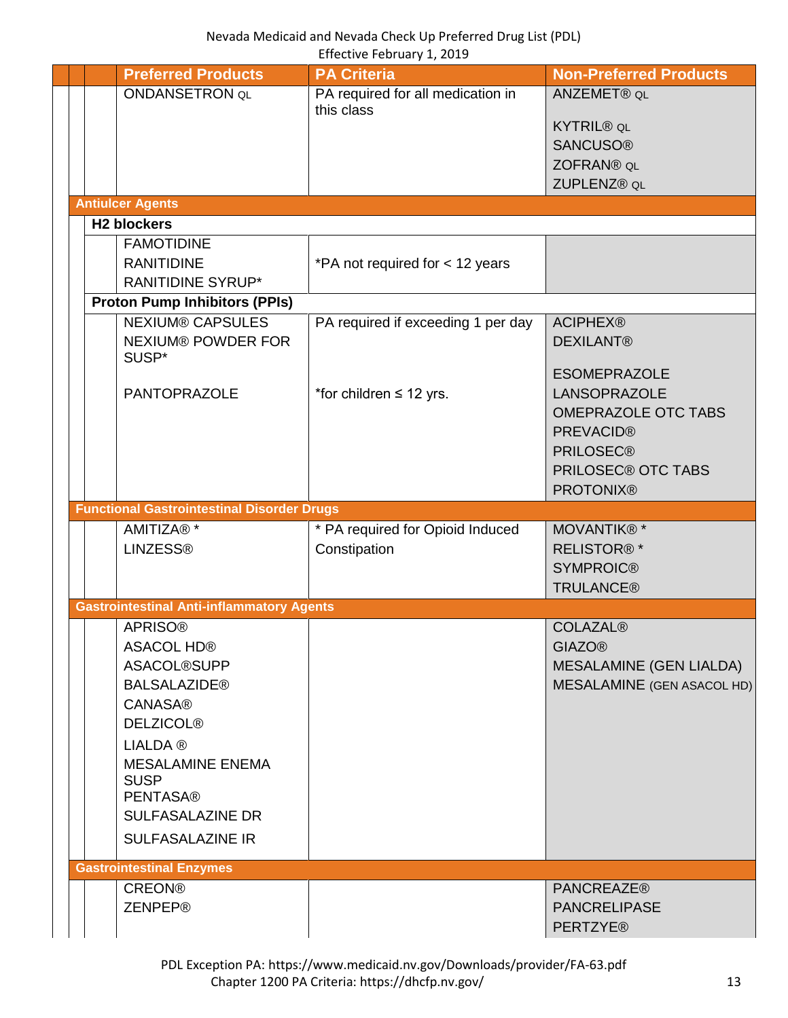<span id="page-12-2"></span><span id="page-12-1"></span><span id="page-12-0"></span>

|  | <b>Preferred Products</b>              |                                                   | <b>PA Criteria</b>                 | <b>Non-Preferred Products</b>  |
|--|----------------------------------------|---------------------------------------------------|------------------------------------|--------------------------------|
|  | <b>ONDANSETRON QL</b>                  |                                                   | PA required for all medication in  | ANZEMET® QL                    |
|  |                                        |                                                   | this class                         |                                |
|  |                                        |                                                   |                                    | <b>KYTRIL® QL</b>              |
|  |                                        |                                                   |                                    | <b>SANCUSO®</b>                |
|  |                                        |                                                   |                                    | ZOFRAN® QL                     |
|  |                                        |                                                   |                                    | ZUPLENZ® QL                    |
|  | <b>Antiulcer Agents</b>                |                                                   |                                    |                                |
|  | <b>H2 blockers</b>                     |                                                   |                                    |                                |
|  | <b>FAMOTIDINE</b>                      |                                                   |                                    |                                |
|  | <b>RANITIDINE</b>                      |                                                   | *PA not required for < 12 years    |                                |
|  | <b>RANITIDINE SYRUP*</b>               |                                                   |                                    |                                |
|  | <b>Proton Pump Inhibitors (PPIs)</b>   |                                                   |                                    |                                |
|  | <b>NEXIUM® CAPSULES</b>                |                                                   | PA required if exceeding 1 per day | <b>ACIPHEX®</b>                |
|  |                                        | <b>NEXIUM® POWDER FOR</b>                         |                                    | <b>DEXILANT®</b>               |
|  | SUSP*                                  |                                                   |                                    |                                |
|  |                                        |                                                   |                                    | <b>ESOMEPRAZOLE</b>            |
|  | <b>PANTOPRAZOLE</b>                    |                                                   | *for children $\leq$ 12 yrs.       | <b>LANSOPRAZOLE</b>            |
|  |                                        |                                                   |                                    | <b>OMEPRAZOLE OTC TABS</b>     |
|  |                                        |                                                   |                                    | <b>PREVACID®</b>               |
|  |                                        |                                                   |                                    | <b>PRILOSEC®</b>               |
|  |                                        |                                                   |                                    | <b>PRILOSEC® OTC TABS</b>      |
|  |                                        |                                                   |                                    | <b>PROTONIX®</b>               |
|  |                                        | <b>Functional Gastrointestinal Disorder Drugs</b> |                                    |                                |
|  | AMITIZA® *                             |                                                   | * PA required for Opioid Induced   | MOVANTIK®*                     |
|  | <b>LINZESS®</b>                        |                                                   | Constipation                       | <b>RELISTOR®*</b>              |
|  |                                        |                                                   |                                    | <b>SYMPROIC®</b>               |
|  |                                        |                                                   |                                    | <b>TRULANCE®</b>               |
|  |                                        | <b>Gastrointestinal Anti-inflammatory Agents</b>  |                                    |                                |
|  | <b>APRISO®</b>                         |                                                   |                                    | <b>COLAZAL®</b>                |
|  | <b>ASACOL HD®</b>                      |                                                   |                                    | <b>GIAZO®</b>                  |
|  | <b>ASACOL®SUPP</b>                     |                                                   |                                    | <b>MESALAMINE (GEN LIALDA)</b> |
|  | <b>BALSALAZIDE®</b>                    |                                                   |                                    | MESALAMINE (GEN ASACOL HD)     |
|  | <b>CANASA®</b>                         |                                                   |                                    |                                |
|  | <b>DELZICOL®</b>                       |                                                   |                                    |                                |
|  |                                        |                                                   |                                    |                                |
|  | <b>LIALDA</b> ®                        |                                                   |                                    |                                |
|  | <b>MESALAMINE ENEMA</b><br><b>SUSP</b> |                                                   |                                    |                                |
|  | <b>PENTASA®</b>                        |                                                   |                                    |                                |
|  | <b>SULFASALAZINE DR</b>                |                                                   |                                    |                                |
|  |                                        |                                                   |                                    |                                |
|  | <b>SULFASALAZINE IR</b>                |                                                   |                                    |                                |
|  | <b>Gastrointestinal Enzymes</b>        |                                                   |                                    |                                |
|  | <b>CREON®</b>                          |                                                   |                                    | <b>PANCREAZE®</b>              |
|  | <b>ZENPEP®</b>                         |                                                   |                                    | <b>PANCRELIPASE</b>            |
|  |                                        |                                                   |                                    | <b>PERTZYE®</b>                |
|  |                                        |                                                   |                                    |                                |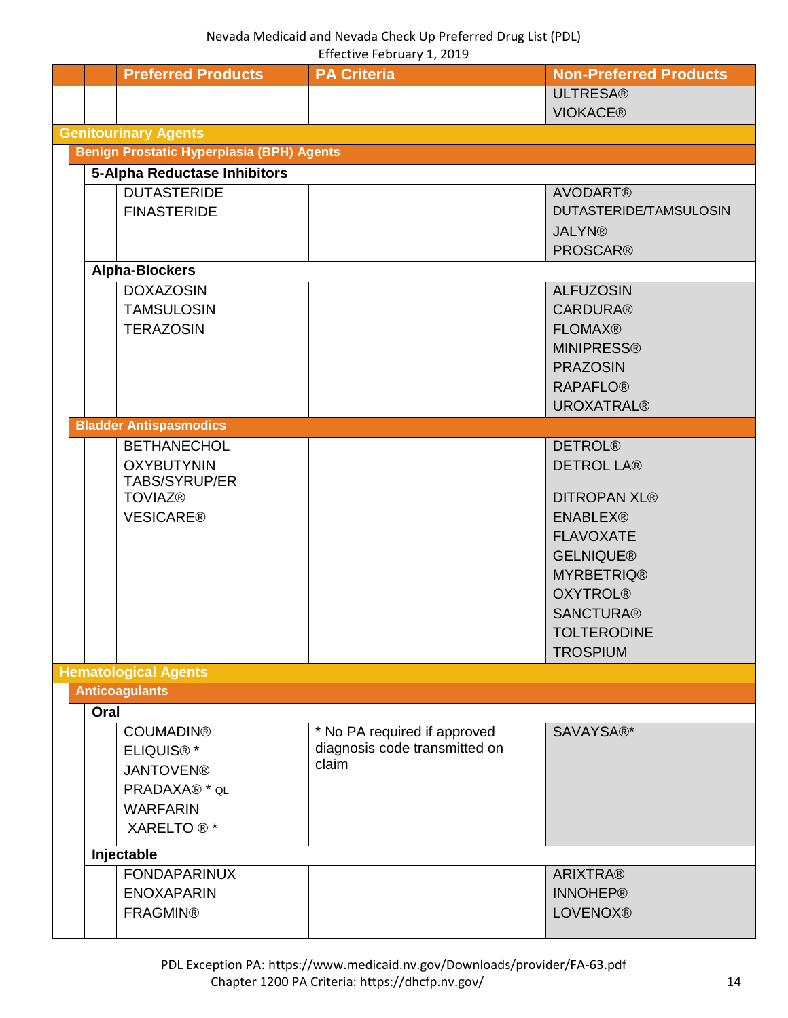<span id="page-13-4"></span><span id="page-13-3"></span><span id="page-13-2"></span><span id="page-13-1"></span><span id="page-13-0"></span>

|  |      | <b>Preferred Products</b>                        | <b>PA Criteria</b>            | <b>Non-Preferred Products</b> |
|--|------|--------------------------------------------------|-------------------------------|-------------------------------|
|  |      |                                                  |                               | <b>ULTRESA®</b>               |
|  |      |                                                  |                               | <b>VIOKACE®</b>               |
|  |      | <b>Genitourinary Agents</b>                      |                               |                               |
|  |      | <b>Benign Prostatic Hyperplasia (BPH) Agents</b> |                               |                               |
|  |      | 5-Alpha Reductase Inhibitors                     |                               |                               |
|  |      |                                                  |                               |                               |
|  |      | <b>DUTASTERIDE</b>                               |                               | <b>AVODART®</b>               |
|  |      | <b>FINASTERIDE</b>                               |                               | DUTASTERIDE/TAMSULOSIN        |
|  |      |                                                  |                               | <b>JALYN®</b>                 |
|  |      |                                                  |                               | <b>PROSCAR®</b>               |
|  |      | <b>Alpha-Blockers</b>                            |                               |                               |
|  |      | <b>DOXAZOSIN</b>                                 |                               | <b>ALFUZOSIN</b>              |
|  |      | <b>TAMSULOSIN</b>                                |                               | <b>CARDURA®</b>               |
|  |      | <b>TERAZOSIN</b>                                 |                               | <b>FLOMAX®</b>                |
|  |      |                                                  |                               |                               |
|  |      |                                                  |                               | <b>MINIPRESS®</b>             |
|  |      |                                                  |                               | <b>PRAZOSIN</b>               |
|  |      |                                                  |                               | <b>RAPAFLO®</b>               |
|  |      |                                                  |                               | <b>UROXATRAL®</b>             |
|  |      | <b>Bladder Antispasmodics</b>                    |                               |                               |
|  |      | <b>BETHANECHOL</b>                               |                               | <b>DETROL®</b>                |
|  |      | <b>OXYBUTYNIN</b>                                |                               | <b>DETROL LA®</b>             |
|  |      | TABS/SYRUP/ER                                    |                               |                               |
|  |      | <b>TOVIAZ®</b>                                   |                               | <b>DITROPAN XL®</b>           |
|  |      | <b>VESICARE®</b>                                 |                               | <b>ENABLEX®</b>               |
|  |      |                                                  |                               | <b>FLAVOXATE</b>              |
|  |      |                                                  |                               | <b>GELNIQUE®</b>              |
|  |      |                                                  |                               |                               |
|  |      |                                                  |                               | <b>MYRBETRIQ®</b>             |
|  |      |                                                  |                               | <b>OXYTROL®</b>               |
|  |      |                                                  |                               | <b>SANCTURA®</b>              |
|  |      |                                                  |                               | <b>TOLTERODINE</b>            |
|  |      |                                                  |                               | <b>TROSPIUM</b>               |
|  |      | <b>Hematological Agents</b>                      |                               |                               |
|  |      | <b>Anticoagulants</b>                            |                               |                               |
|  | Oral |                                                  |                               |                               |
|  |      | <b>COUMADIN®</b>                                 | * No PA required if approved  | SAVAYSA®*                     |
|  |      | <b>ELIQUIS®*</b>                                 | diagnosis code transmitted on |                               |
|  |      | <b>JANTOVEN®</b>                                 | claim                         |                               |
|  |      |                                                  |                               |                               |
|  |      | PRADAXA® * QL                                    |                               |                               |
|  |      | <b>WARFARIN</b>                                  |                               |                               |
|  |      | XARELTO <sup>®</sup> *                           |                               |                               |
|  |      | Injectable                                       |                               |                               |
|  |      | <b>FONDAPARINUX</b>                              |                               | <b>ARIXTRA®</b>               |
|  |      | <b>ENOXAPARIN</b>                                |                               | <b>INNOHEP®</b>               |
|  |      | <b>FRAGMIN®</b>                                  |                               | <b>LOVENOX®</b>               |
|  |      |                                                  |                               |                               |
|  |      |                                                  |                               |                               |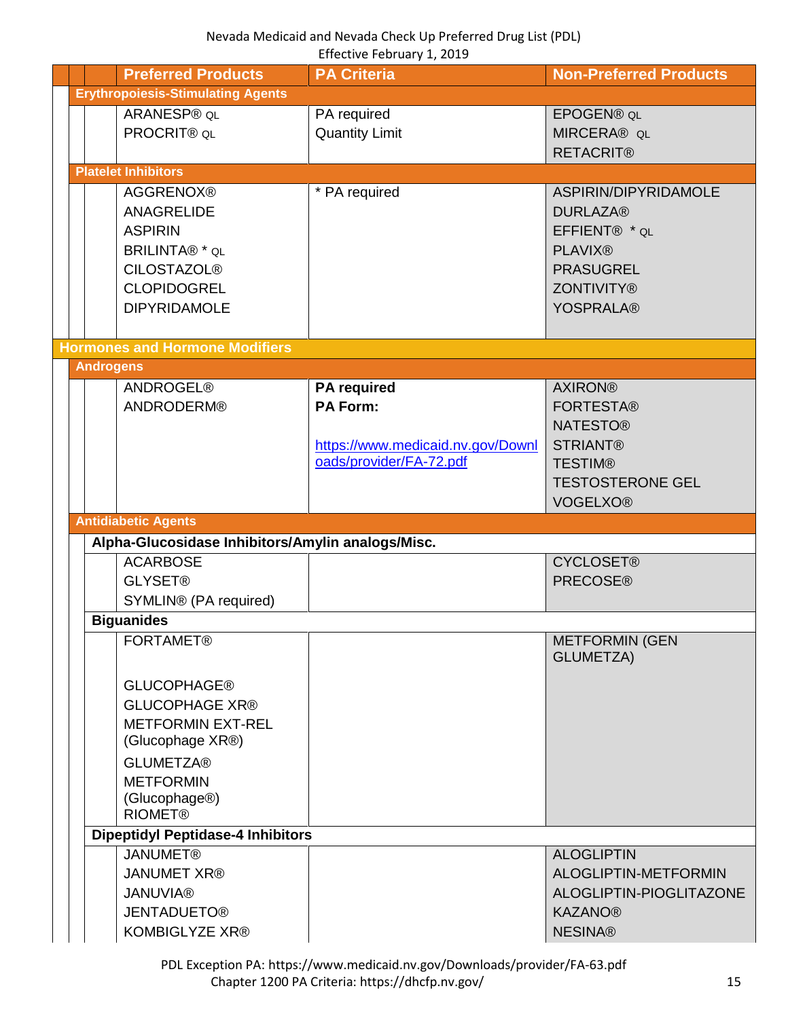<span id="page-14-4"></span><span id="page-14-3"></span><span id="page-14-2"></span><span id="page-14-1"></span><span id="page-14-0"></span>

|  |                  | <b>Preferred Products</b>                         | <b>PA Criteria</b>                | <b>Non-Preferred Products</b>    |
|--|------------------|---------------------------------------------------|-----------------------------------|----------------------------------|
|  |                  | <b>Erythropoiesis-Stimulating Agents</b>          |                                   |                                  |
|  |                  | ARANESP® QL                                       | PA required                       | <b>EPOGEN® QL</b>                |
|  |                  | PROCRIT® QL                                       | <b>Quantity Limit</b>             | <b>MIRCERA® QL</b>               |
|  |                  |                                                   |                                   | <b>RETACRIT®</b>                 |
|  |                  | <b>Platelet Inhibitors</b>                        |                                   |                                  |
|  |                  | <b>AGGRENOX®</b>                                  | * PA required                     | ASPIRIN/DIPYRIDAMOLE             |
|  |                  | <b>ANAGRELIDE</b>                                 |                                   | <b>DURLAZA®</b>                  |
|  |                  | <b>ASPIRIN</b>                                    |                                   | EFFIENT® * QL                    |
|  |                  | <b>BRILINTA®</b> * QL                             |                                   | <b>PLAVIX®</b>                   |
|  |                  | <b>CILOSTAZOL®</b>                                |                                   | <b>PRASUGREL</b>                 |
|  |                  | <b>CLOPIDOGREL</b>                                |                                   | <b>ZONTIVITY®</b>                |
|  |                  | <b>DIPYRIDAMOLE</b>                               |                                   | <b>YOSPRALA®</b>                 |
|  |                  |                                                   |                                   |                                  |
|  |                  | <b>Hormones and Hormone Modifiers</b>             |                                   |                                  |
|  | <b>Androgens</b> |                                                   |                                   |                                  |
|  |                  | <b>ANDROGEL®</b>                                  | <b>PA</b> required                | <b>AXIRON®</b>                   |
|  |                  | <b>ANDRODERM®</b>                                 | <b>PA Form:</b>                   | <b>FORTESTA®</b>                 |
|  |                  |                                                   |                                   | <b>NATESTO®</b>                  |
|  |                  |                                                   | https://www.medicaid.nv.gov/Downl | <b>STRIANT®</b>                  |
|  |                  |                                                   | oads/provider/FA-72.pdf           | <b>TESTIM®</b>                   |
|  |                  |                                                   |                                   | <b>TESTOSTERONE GEL</b>          |
|  |                  |                                                   |                                   | <b>VOGELXO®</b>                  |
|  |                  |                                                   |                                   |                                  |
|  |                  | <b>Antidiabetic Agents</b>                        |                                   |                                  |
|  |                  | Alpha-Glucosidase Inhibitors/Amylin analogs/Misc. |                                   |                                  |
|  |                  | <b>ACARBOSE</b>                                   |                                   | <b>CYCLOSET®</b>                 |
|  |                  | <b>GLYSET®</b>                                    |                                   | <b>PRECOSE®</b>                  |
|  |                  | SYMLIN® (PA required)                             |                                   |                                  |
|  |                  | <b>Biguanides</b>                                 |                                   |                                  |
|  |                  | <b>FORTAMET®</b>                                  |                                   | METFORMIN (GEN                   |
|  |                  |                                                   |                                   | GLUMETZA)                        |
|  |                  | <b>GLUCOPHAGE®</b>                                |                                   |                                  |
|  |                  | <b>GLUCOPHAGE XR®</b>                             |                                   |                                  |
|  |                  | <b>METFORMIN EXT-REL</b>                          |                                   |                                  |
|  |                  | (Glucophage XR®)                                  |                                   |                                  |
|  |                  | <b>GLUMETZA®</b>                                  |                                   |                                  |
|  |                  | <b>METFORMIN</b>                                  |                                   |                                  |
|  |                  | (Glucophage <sup>®)</sup>                         |                                   |                                  |
|  |                  | <b>RIOMET®</b>                                    |                                   |                                  |
|  |                  | <b>Dipeptidyl Peptidase-4 Inhibitors</b>          |                                   |                                  |
|  |                  | <b>JANUMET®</b>                                   |                                   | <b>ALOGLIPTIN</b>                |
|  |                  | <b>JANUMET XR®</b>                                |                                   | ALOGLIPTIN-METFORMIN             |
|  |                  | <b>JANUVIA®</b>                                   |                                   | ALOGLIPTIN-PIOGLITAZONE          |
|  |                  | <b>JENTADUETO®</b><br>KOMBIGLYZE XR®              |                                   | <b>KAZANO®</b><br><b>NESINA®</b> |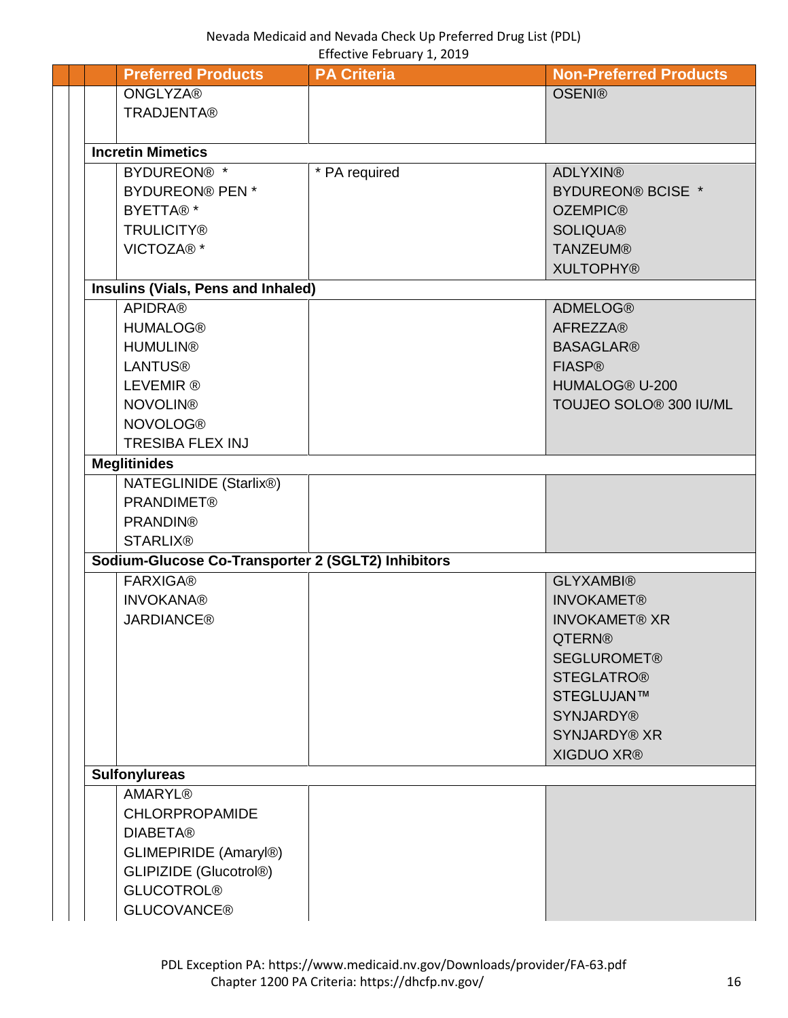| <b>Preferred Products</b>                          | <b>PA Criteria</b> | <b>Non-Preferred Products</b> |
|----------------------------------------------------|--------------------|-------------------------------|
| <b>ONGLYZA®</b>                                    |                    | <b>OSENI®</b>                 |
| <b>TRADJENTA®</b>                                  |                    |                               |
|                                                    |                    |                               |
| <b>Incretin Mimetics</b>                           |                    |                               |
| BYDUREON® *                                        | * PA required      | <b>ADLYXIN®</b>               |
| <b>BYDUREON® PEN *</b>                             |                    | <b>BYDUREON® BCISE *</b>      |
| BYETTA®*                                           |                    | <b>OZEMPIC®</b>               |
| <b>TRULICITY®</b>                                  |                    | <b>SOLIQUA®</b>               |
| VICTOZA®*                                          |                    | <b>TANZEUM®</b>               |
|                                                    |                    | <b>XULTOPHY®</b>              |
| Insulins (Vials, Pens and Inhaled)                 |                    |                               |
| <b>APIDRA®</b>                                     |                    | <b>ADMELOG®</b>               |
| <b>HUMALOG®</b>                                    |                    | <b>AFREZZA®</b>               |
| <b>HUMULIN®</b>                                    |                    | <b>BASAGLAR®</b>              |
| <b>LANTUS®</b>                                     |                    | <b>FIASP®</b>                 |
| <b>LEVEMIR®</b>                                    |                    | HUMALOG® U-200                |
| <b>NOVOLIN®</b>                                    |                    | TOUJEO SOLO® 300 IU/ML        |
| <b>NOVOLOG®</b>                                    |                    |                               |
| <b>TRESIBA FLEX INJ</b>                            |                    |                               |
| <b>Meglitinides</b>                                |                    |                               |
| NATEGLINIDE (Starlix®)                             |                    |                               |
| <b>PRANDIMET®</b>                                  |                    |                               |
| <b>PRANDIN®</b><br><b>STARLIX®</b>                 |                    |                               |
| Sodium-Glucose Co-Transporter 2 (SGLT2) Inhibitors |                    |                               |
| <b>FARXIGA®</b>                                    |                    | <b>GLYXAMBI®</b>              |
| <b>INVOKANA®</b>                                   |                    | <b>INVOKAMET®</b>             |
| <b>JARDIANCE®</b>                                  |                    | <b>INVOKAMET® XR</b>          |
|                                                    |                    | QTERN®                        |
|                                                    |                    | <b>SEGLUROMET®</b>            |
|                                                    |                    | <b>STEGLATRO®</b>             |
|                                                    |                    | STEGLUJAN™                    |
|                                                    |                    | <b>SYNJARDY®</b>              |
|                                                    |                    | <b>SYNJARDY® XR</b>           |
|                                                    |                    | <b>XIGDUO XR®</b>             |
| <b>Sulfonylureas</b>                               |                    |                               |
| <b>AMARYL®</b>                                     |                    |                               |
| <b>CHLORPROPAMIDE</b>                              |                    |                               |
| <b>DIABETA®</b>                                    |                    |                               |
| GLIMEPIRIDE (Amaryl®)                              |                    |                               |
| GLIPIZIDE (Glucotrol®)                             |                    |                               |
| <b>GLUCOTROL®</b>                                  |                    |                               |
| <b>GLUCOVANCE®</b>                                 |                    |                               |
|                                                    |                    |                               |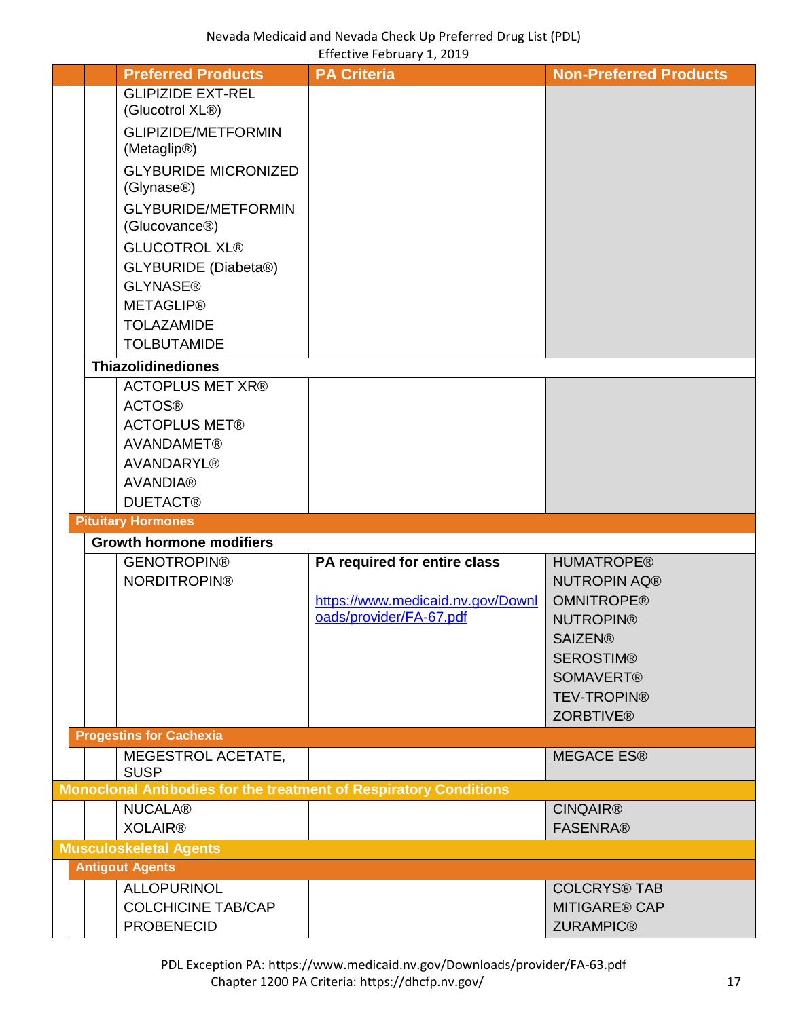<span id="page-16-4"></span><span id="page-16-3"></span><span id="page-16-2"></span><span id="page-16-1"></span><span id="page-16-0"></span>

|  | <b>Preferred Products</b>                      | <b>PA Criteria</b>                                                | <b>Non-Preferred Products</b>            |
|--|------------------------------------------------|-------------------------------------------------------------------|------------------------------------------|
|  | <b>GLIPIZIDE EXT-REL</b>                       |                                                                   |                                          |
|  | (Glucotrol XL®)                                |                                                                   |                                          |
|  | <b>GLIPIZIDE/METFORMIN</b>                     |                                                                   |                                          |
|  | (Metaglip <sup>®)</sup>                        |                                                                   |                                          |
|  | <b>GLYBURIDE MICRONIZED</b>                    |                                                                   |                                          |
|  | (Glynase <sup>®</sup> )                        |                                                                   |                                          |
|  | <b>GLYBURIDE/METFORMIN</b>                     |                                                                   |                                          |
|  | (Glucovance <sup>®)</sup>                      |                                                                   |                                          |
|  | <b>GLUCOTROL XL®</b>                           |                                                                   |                                          |
|  | <b>GLYBURIDE</b> (Diabeta®)                    |                                                                   |                                          |
|  | <b>GLYNASE®</b>                                |                                                                   |                                          |
|  | <b>METAGLIP®</b>                               |                                                                   |                                          |
|  | <b>TOLAZAMIDE</b>                              |                                                                   |                                          |
|  | <b>TOLBUTAMIDE</b>                             |                                                                   |                                          |
|  | <b>Thiazolidinediones</b>                      |                                                                   |                                          |
|  | <b>ACTOPLUS MET XR®</b>                        |                                                                   |                                          |
|  | <b>ACTOS®</b>                                  |                                                                   |                                          |
|  | <b>ACTOPLUS MET®</b>                           |                                                                   |                                          |
|  | <b>AVANDAMET®</b>                              |                                                                   |                                          |
|  | <b>AVANDARYL®</b>                              |                                                                   |                                          |
|  | <b>AVANDIA®</b>                                |                                                                   |                                          |
|  | <b>DUETACT®</b>                                |                                                                   |                                          |
|  | <b>Pituitary Hormones</b>                      |                                                                   |                                          |
|  | <b>Growth hormone modifiers</b>                |                                                                   |                                          |
|  | <b>GENOTROPIN®</b>                             | PA required for entire class                                      | <b>HUMATROPE®</b>                        |
|  | <b>NORDITROPIN®</b>                            |                                                                   | <b>NUTROPIN AQ®</b>                      |
|  |                                                |                                                                   |                                          |
|  |                                                | https://www.medicaid.nv.gov/Downl                                 | <b>OMNITROPE®</b>                        |
|  |                                                | oads/provider/FA-67.pdf                                           | <b>NUTROPIN®</b>                         |
|  |                                                |                                                                   | <b>SAIZEN®</b>                           |
|  |                                                |                                                                   | <b>SEROSTIM®</b>                         |
|  |                                                |                                                                   | <b>SOMAVERT®</b>                         |
|  |                                                |                                                                   | <b>TEV-TROPIN®</b>                       |
|  |                                                |                                                                   | <b>ZORBTIVE®</b>                         |
|  | <b>Progestins for Cachexia</b>                 |                                                                   |                                          |
|  | MEGESTROL ACETATE,                             |                                                                   | <b>MEGACE ES®</b>                        |
|  | <b>SUSP</b>                                    | Monoclonal Antibodies for the treatment of Respiratory Conditions |                                          |
|  | <b>NUCALA®</b>                                 |                                                                   | <b>CINQAIR®</b>                          |
|  | <b>XOLAIR®</b>                                 |                                                                   | <b>FASENRA®</b>                          |
|  | <b>Musculoskeletal Agents</b>                  |                                                                   |                                          |
|  | <b>Antigout Agents</b>                         |                                                                   |                                          |
|  | <b>ALLOPURINOL</b>                             |                                                                   | <b>COLCRYS® TAB</b>                      |
|  | <b>COLCHICINE TAB/CAP</b><br><b>PROBENECID</b> |                                                                   | <b>MITIGARE® CAP</b><br><b>ZURAMPIC®</b> |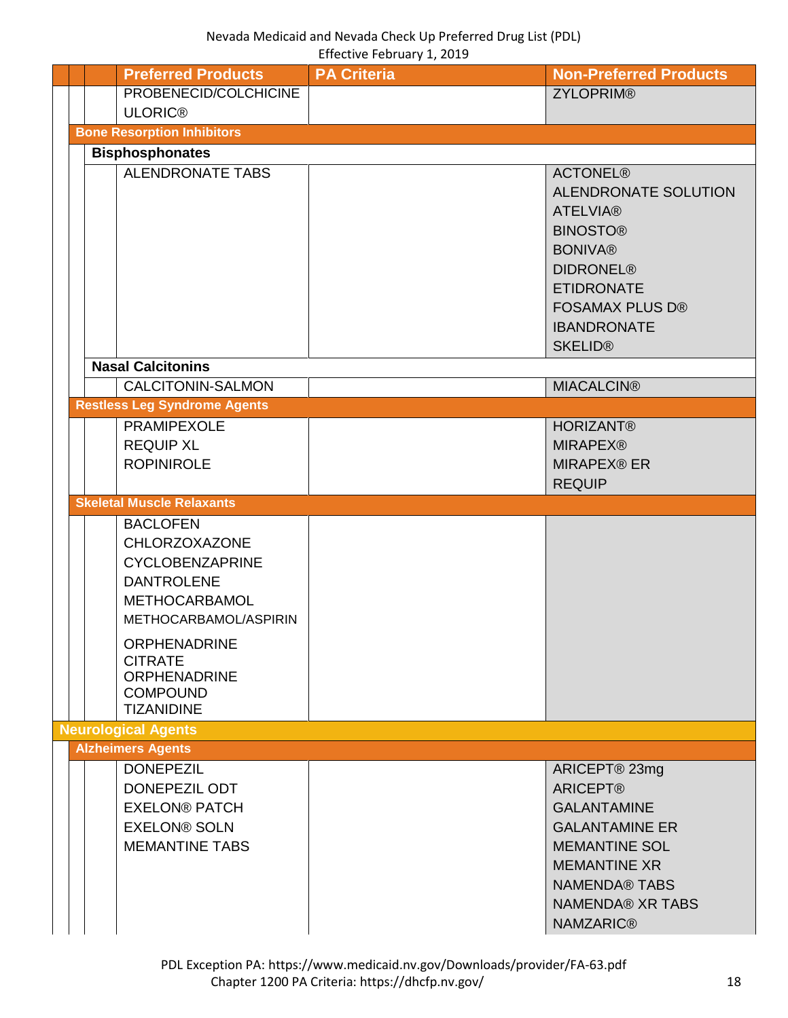<span id="page-17-4"></span><span id="page-17-3"></span><span id="page-17-2"></span><span id="page-17-1"></span><span id="page-17-0"></span>

|  | <b>Preferred Products</b>                                                                                                               | <b>PA Criteria</b> | <b>Non-Preferred Products</b>                                                                                                                                                                                     |
|--|-----------------------------------------------------------------------------------------------------------------------------------------|--------------------|-------------------------------------------------------------------------------------------------------------------------------------------------------------------------------------------------------------------|
|  | PROBENECID/COLCHICINE                                                                                                                   |                    | <b>ZYLOPRIM®</b>                                                                                                                                                                                                  |
|  | <b>ULORIC®</b>                                                                                                                          |                    |                                                                                                                                                                                                                   |
|  | <b>Bone Resorption Inhibitors</b>                                                                                                       |                    |                                                                                                                                                                                                                   |
|  | <b>Bisphosphonates</b>                                                                                                                  |                    |                                                                                                                                                                                                                   |
|  | <b>ALENDRONATE TABS</b>                                                                                                                 |                    | <b>ACTONEL®</b><br><b>ALENDRONATE SOLUTION</b><br><b>ATELVIA®</b><br><b>BINOSTO®</b><br><b>BONIVA®</b><br><b>DIDRONEL®</b><br><b>ETIDRONATE</b><br><b>FOSAMAX PLUS D®</b><br><b>IBANDRONATE</b><br><b>SKELID®</b> |
|  | <b>Nasal Calcitonins</b>                                                                                                                |                    |                                                                                                                                                                                                                   |
|  | CALCITONIN-SALMON                                                                                                                       |                    | <b>MIACALCIN®</b>                                                                                                                                                                                                 |
|  | <b>Restless Leg Syndrome Agents</b>                                                                                                     |                    |                                                                                                                                                                                                                   |
|  | PRAMIPEXOLE<br><b>REQUIP XL</b><br><b>ROPINIROLE</b>                                                                                    |                    | <b>HORIZANT®</b><br><b>MIRAPEX®</b><br><b>MIRAPEX® ER</b><br><b>REQUIP</b>                                                                                                                                        |
|  | <b>Skeletal Muscle Relaxants</b>                                                                                                        |                    |                                                                                                                                                                                                                   |
|  | <b>BACLOFEN</b><br><b>CHLORZOXAZONE</b><br><b>CYCLOBENZAPRINE</b><br><b>DANTROLENE</b><br><b>METHOCARBAMOL</b><br>METHOCARBAMOL/ASPIRIN |                    |                                                                                                                                                                                                                   |
|  | <b>ORPHENADRINE</b><br><b>CITRATE</b><br><b>ORPHENADRINE</b><br><b>COMPOUND</b><br><b>TIZANIDINE</b>                                    |                    |                                                                                                                                                                                                                   |
|  | <b>Neurological Agents</b>                                                                                                              |                    |                                                                                                                                                                                                                   |
|  | <b>Alzheimers Agents</b>                                                                                                                |                    |                                                                                                                                                                                                                   |
|  | <b>DONEPEZIL</b><br>DONEPEZIL ODT<br><b>EXELON® PATCH</b><br><b>EXELON® SOLN</b><br><b>MEMANTINE TABS</b>                               |                    | ARICEPT® 23mg<br><b>ARICEPT®</b><br><b>GALANTAMINE</b><br><b>GALANTAMINE ER</b><br><b>MEMANTINE SOL</b><br><b>MEMANTINE XR</b><br><b>NAMENDA® TABS</b><br><b>NAMENDA® XR TABS</b><br><b>NAMZARIC®</b>             |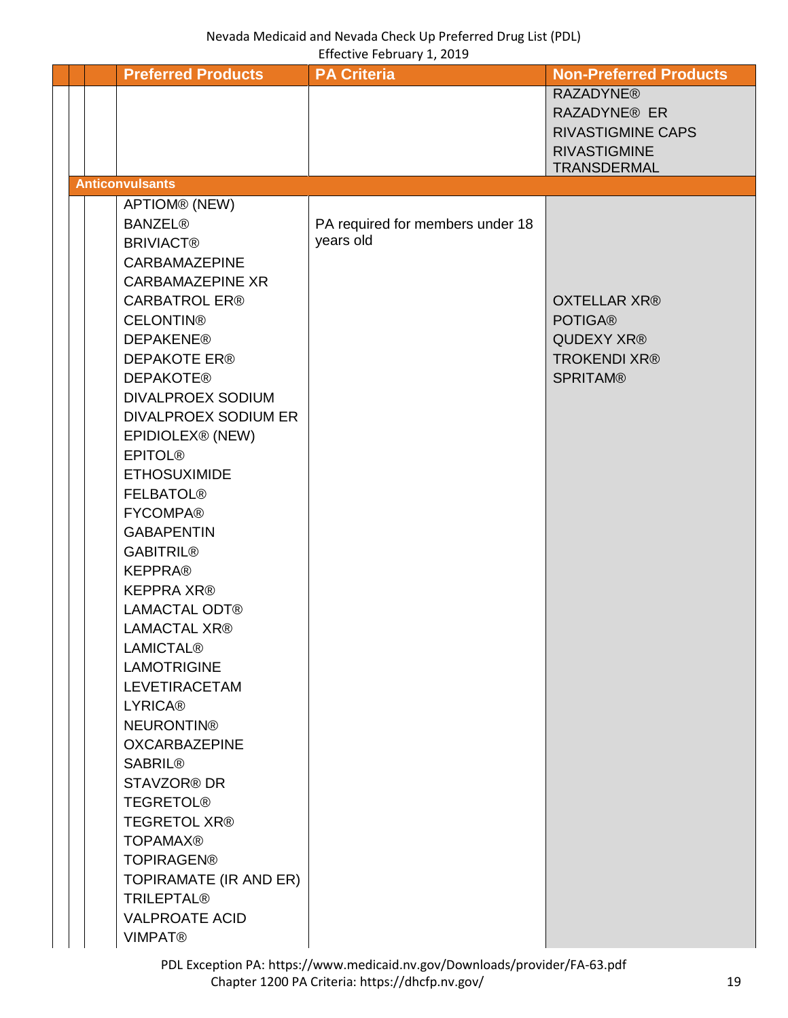<span id="page-18-0"></span>

|  | <b>Preferred Products</b>          | <b>PA Criteria</b>               | <b>Non-Preferred Products</b> |
|--|------------------------------------|----------------------------------|-------------------------------|
|  |                                    |                                  | <b>RAZADYNE®</b>              |
|  |                                    |                                  | <b>RAZADYNE® ER</b>           |
|  |                                    |                                  | <b>RIVASTIGMINE CAPS</b>      |
|  |                                    |                                  | <b>RIVASTIGMINE</b>           |
|  |                                    |                                  | <b>TRANSDERMAL</b>            |
|  | <b>Anticonvulsants</b>             |                                  |                               |
|  | APTIOM® (NEW)                      |                                  |                               |
|  | <b>BANZEL®</b>                     | PA required for members under 18 |                               |
|  | <b>BRIVIACT®</b>                   | years old                        |                               |
|  | <b>CARBAMAZEPINE</b>               |                                  |                               |
|  | <b>CARBAMAZEPINE XR</b>            |                                  |                               |
|  | <b>CARBATROL ER®</b>               |                                  | <b>OXTELLAR XR®</b>           |
|  | <b>CELONTIN®</b>                   |                                  | <b>POTIGA®</b>                |
|  | <b>DEPAKENE®</b>                   |                                  | QUDEXY XR®                    |
|  | <b>DEPAKOTE ER®</b>                |                                  | <b>TROKENDI XR®</b>           |
|  | <b>DEPAKOTE®</b>                   |                                  | <b>SPRITAM®</b>               |
|  | <b>DIVALPROEX SODIUM</b>           |                                  |                               |
|  | <b>DIVALPROEX SODIUM ER</b>        |                                  |                               |
|  | EPIDIOLEX® (NEW)<br><b>EPITOL®</b> |                                  |                               |
|  | <b>ETHOSUXIMIDE</b>                |                                  |                               |
|  | <b>FELBATOL®</b>                   |                                  |                               |
|  | <b>FYCOMPA®</b>                    |                                  |                               |
|  | <b>GABAPENTIN</b>                  |                                  |                               |
|  | <b>GABITRIL®</b>                   |                                  |                               |
|  | <b>KEPPRA®</b>                     |                                  |                               |
|  | <b>KEPPRA XR®</b>                  |                                  |                               |
|  | <b>LAMACTAL ODT®</b>               |                                  |                               |
|  | <b>LAMACTAL XR®</b>                |                                  |                               |
|  | <b>LAMICTAL®</b>                   |                                  |                               |
|  | <b>LAMOTRIGINE</b>                 |                                  |                               |
|  | <b>LEVETIRACETAM</b>               |                                  |                               |
|  | <b>LYRICA®</b>                     |                                  |                               |
|  | <b>NEURONTIN®</b>                  |                                  |                               |
|  | <b>OXCARBAZEPINE</b>               |                                  |                               |
|  | <b>SABRIL®</b>                     |                                  |                               |
|  | <b>STAVZOR® DR</b>                 |                                  |                               |
|  | <b>TEGRETOL®</b>                   |                                  |                               |
|  | <b>TEGRETOL XR®</b>                |                                  |                               |
|  | <b>TOPAMAX®</b>                    |                                  |                               |
|  | <b>TOPIRAGEN®</b>                  |                                  |                               |
|  | TOPIRAMATE (IR AND ER)             |                                  |                               |
|  | <b>TRILEPTAL®</b>                  |                                  |                               |
|  | <b>VALPROATE ACID</b>              |                                  |                               |
|  | <b>VIMPAT®</b>                     |                                  |                               |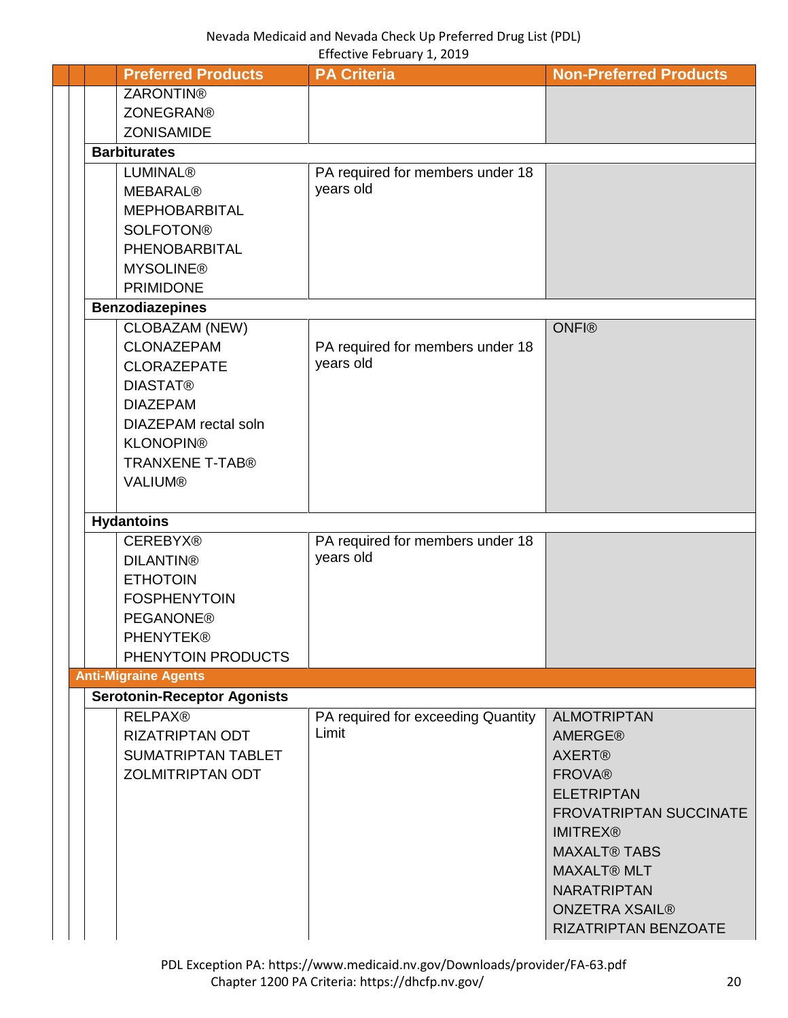<span id="page-19-0"></span>

|  | <b>Preferred Products</b>          | <b>PA Criteria</b>                          | <b>Non-Preferred Products</b> |
|--|------------------------------------|---------------------------------------------|-------------------------------|
|  | <b>ZARONTIN®</b>                   |                                             |                               |
|  | <b>ZONEGRAN®</b>                   |                                             |                               |
|  | <b>ZONISAMIDE</b>                  |                                             |                               |
|  | <b>Barbiturates</b>                |                                             |                               |
|  | <b>LUMINAL®</b>                    | PA required for members under 18            |                               |
|  | <b>MEBARAL®</b>                    | years old                                   |                               |
|  | <b>MEPHOBARBITAL</b>               |                                             |                               |
|  | <b>SOLFOTON®</b>                   |                                             |                               |
|  | PHENOBARBITAL                      |                                             |                               |
|  | <b>MYSOLINE®</b>                   |                                             |                               |
|  | <b>PRIMIDONE</b>                   |                                             |                               |
|  | <b>Benzodiazepines</b>             |                                             |                               |
|  | CLOBAZAM (NEW)                     |                                             | <b>ONFI®</b>                  |
|  | <b>CLONAZEPAM</b>                  | PA required for members under 18            |                               |
|  | <b>CLORAZEPATE</b>                 | years old                                   |                               |
|  | <b>DIASTAT®</b>                    |                                             |                               |
|  | <b>DIAZEPAM</b>                    |                                             |                               |
|  | DIAZEPAM rectal soln               |                                             |                               |
|  | <b>KLONOPIN®</b>                   |                                             |                               |
|  | <b>TRANXENE T-TAB®</b>             |                                             |                               |
|  | <b>VALIUM®</b>                     |                                             |                               |
|  | <b>Hydantoins</b>                  |                                             |                               |
|  | <b>CEREBYX®</b>                    | PA required for members under 18            |                               |
|  | <b>DILANTIN®</b>                   | years old                                   |                               |
|  | <b>ETHOTOIN</b>                    |                                             |                               |
|  | <b>FOSPHENYTOIN</b>                |                                             |                               |
|  | <b>PEGANONE®</b>                   |                                             |                               |
|  | <b>PHENYTEK®</b>                   |                                             |                               |
|  | PHENYTOIN PRODUCTS                 |                                             |                               |
|  | <b>Anti-Migraine Agents</b>        |                                             |                               |
|  | <b>Serotonin-Receptor Agonists</b> |                                             |                               |
|  | <b>RELPAX®</b>                     | PA required for exceeding Quantity<br>Limit | <b>ALMOTRIPTAN</b>            |
|  | <b>RIZATRIPTAN ODT</b>             |                                             | <b>AMERGE®</b>                |
|  | SUMATRIPTAN TABLET                 |                                             | <b>AXERT®</b>                 |
|  | <b>ZOLMITRIPTAN ODT</b>            |                                             | <b>FROVA®</b>                 |
|  |                                    |                                             | <b>ELETRIPTAN</b>             |
|  |                                    |                                             | <b>FROVATRIPTAN SUCCINATE</b> |
|  |                                    |                                             | <b>IMITREX®</b>               |
|  |                                    |                                             | <b>MAXALT® TABS</b>           |
|  |                                    |                                             | <b>MAXALT® MLT</b>            |
|  |                                    |                                             | <b>NARATRIPTAN</b>            |
|  |                                    |                                             | <b>ONZETRA XSAIL®</b>         |
|  |                                    |                                             | RIZATRIPTAN BENZOATE          |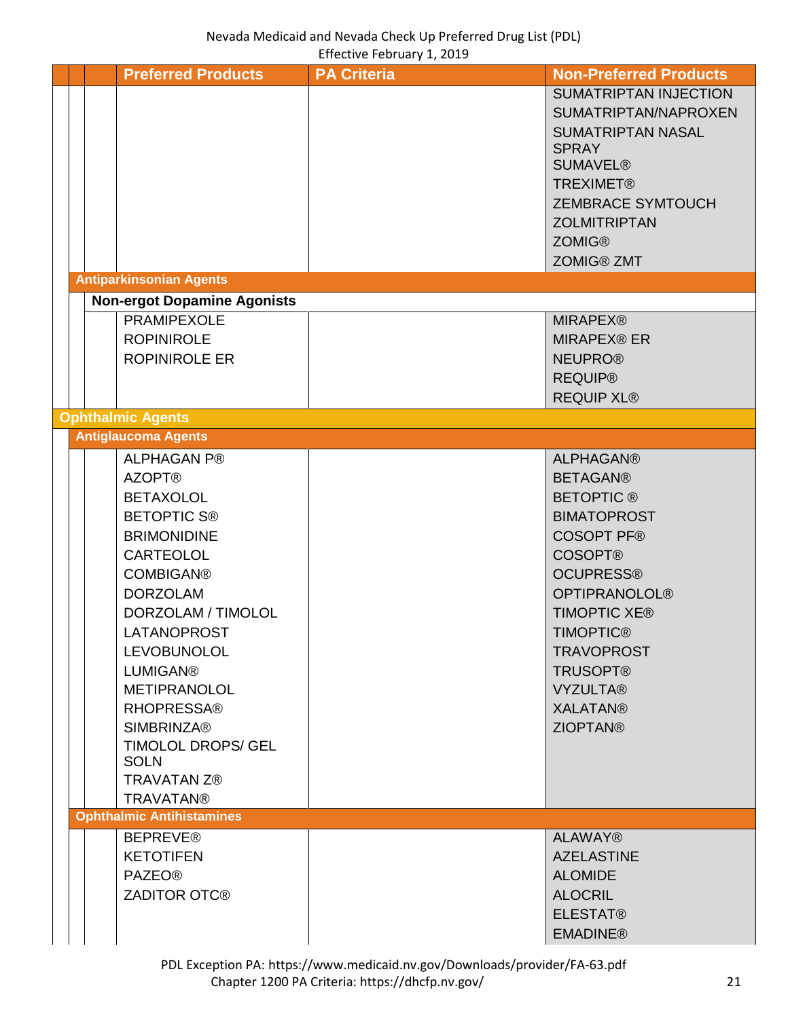<span id="page-20-3"></span><span id="page-20-2"></span><span id="page-20-1"></span><span id="page-20-0"></span>

|  | <b>Preferred Products</b>          | <b>PA Criteria</b> | <b>Non-Preferred Products</b> |
|--|------------------------------------|--------------------|-------------------------------|
|  |                                    |                    | <b>SUMATRIPTAN INJECTION</b>  |
|  |                                    |                    | SUMATRIPTAN/NAPROXEN          |
|  |                                    |                    | <b>SUMATRIPTAN NASAL</b>      |
|  |                                    |                    | <b>SPRAY</b>                  |
|  |                                    |                    | <b>SUMAVEL®</b>               |
|  |                                    |                    | <b>TREXIMET®</b>              |
|  |                                    |                    | <b>ZEMBRACE SYMTOUCH</b>      |
|  |                                    |                    | <b>ZOLMITRIPTAN</b>           |
|  |                                    |                    | <b>ZOMIG®</b>                 |
|  |                                    |                    | <b>ZOMIG® ZMT</b>             |
|  | <b>Antiparkinsonian Agents</b>     |                    |                               |
|  | <b>Non-ergot Dopamine Agonists</b> |                    |                               |
|  | <b>PRAMIPEXOLE</b>                 |                    | <b>MIRAPEX®</b>               |
|  | <b>ROPINIROLE</b>                  |                    | <b>MIRAPEX® ER</b>            |
|  | <b>ROPINIROLE ER</b>               |                    | <b>NEUPRO®</b>                |
|  |                                    |                    | <b>REQUIP®</b>                |
|  |                                    |                    | <b>REQUIP XL®</b>             |
|  | <b>Ophthalmic Agents</b>           |                    |                               |
|  | <b>Antiglaucoma Agents</b>         |                    |                               |
|  | <b>ALPHAGAN P®</b>                 |                    | <b>ALPHAGAN®</b>              |
|  | <b>AZOPT®</b>                      |                    | <b>BETAGAN®</b>               |
|  | <b>BETAXOLOL</b>                   |                    | <b>BETOPTIC®</b>              |
|  | <b>BETOPTIC S®</b>                 |                    | <b>BIMATOPROST</b>            |
|  |                                    |                    | <b>COSOPT PF®</b>             |
|  | <b>BRIMONIDINE</b>                 |                    |                               |
|  | <b>CARTEOLOL</b>                   |                    | <b>COSOPT®</b>                |
|  | <b>COMBIGAN®</b>                   |                    | <b>OCUPRESS®</b>              |
|  | <b>DORZOLAM</b>                    |                    | <b>OPTIPRANOLOL®</b>          |
|  | DORZOLAM / TIMOLOL                 |                    | <b>TIMOPTIC XE®</b>           |
|  | LATANOPROST                        |                    | <b>TIMOPTIC®</b>              |
|  | <b>LEVOBUNOLOL</b>                 |                    | <b>TRAVOPROST</b>             |
|  | <b>LUMIGAN®</b>                    |                    | <b>TRUSOPT®</b>               |
|  | <b>METIPRANOLOL</b>                |                    | <b>VYZULTA®</b>               |
|  | <b>RHOPRESSA®</b>                  |                    | <b>XALATAN®</b>               |
|  | <b>SIMBRINZA®</b>                  |                    | <b>ZIOPTAN®</b>               |
|  | TIMOLOL DROPS/ GEL                 |                    |                               |
|  | <b>SOLN</b>                        |                    |                               |
|  | <b>TRAVATAN Z®</b>                 |                    |                               |
|  | <b>TRAVATAN®</b>                   |                    |                               |
|  | <b>Ophthalmic Antihistamines</b>   |                    |                               |
|  | <b>BEPREVE®</b>                    |                    | <b>ALAWAY®</b>                |
|  | <b>KETOTIFEN</b>                   |                    | <b>AZELASTINE</b>             |
|  | <b>PAZEO®</b>                      |                    | <b>ALOMIDE</b>                |
|  | <b>ZADITOR OTC®</b>                |                    | <b>ALOCRIL</b>                |
|  |                                    |                    | <b>ELESTAT®</b>               |
|  |                                    |                    | <b>EMADINE®</b>               |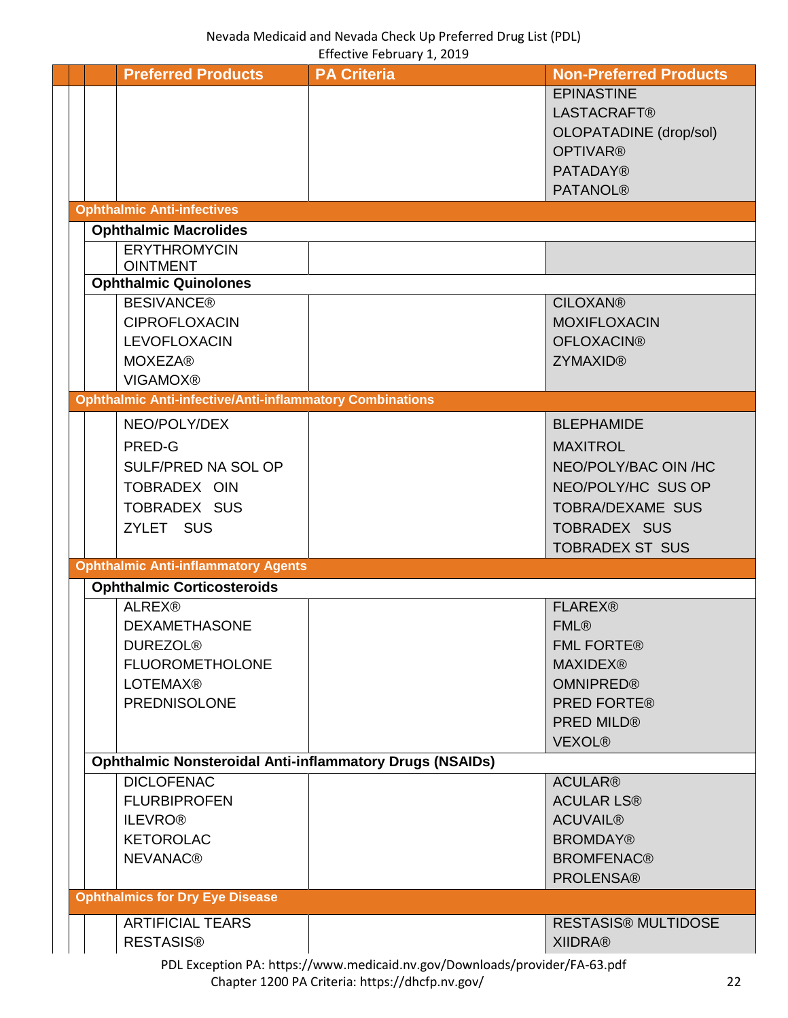<span id="page-21-3"></span><span id="page-21-2"></span><span id="page-21-1"></span><span id="page-21-0"></span>

|  |                                                                 | $L$ is converted by a converted by $L$ , $L$ or $L$ |                               |
|--|-----------------------------------------------------------------|-----------------------------------------------------|-------------------------------|
|  | <b>Preferred Products</b>                                       | <b>PA Criteria</b>                                  | <b>Non-Preferred Products</b> |
|  |                                                                 |                                                     | <b>EPINASTINE</b>             |
|  |                                                                 |                                                     | <b>LASTACRAFT®</b>            |
|  |                                                                 |                                                     | <b>OLOPATADINE</b> (drop/sol) |
|  |                                                                 |                                                     | <b>OPTIVAR®</b>               |
|  |                                                                 |                                                     | <b>PATADAY®</b>               |
|  |                                                                 |                                                     |                               |
|  |                                                                 |                                                     | <b>PATANOL®</b>               |
|  | <b>Ophthalmic Anti-infectives</b>                               |                                                     |                               |
|  | <b>Ophthalmic Macrolides</b>                                    |                                                     |                               |
|  | <b>ERYTHROMYCIN</b>                                             |                                                     |                               |
|  | <b>OINTMENT</b>                                                 |                                                     |                               |
|  | <b>Ophthalmic Quinolones</b>                                    |                                                     |                               |
|  | <b>BESIVANCE®</b>                                               |                                                     | <b>CILOXAN®</b>               |
|  | <b>CIPROFLOXACIN</b>                                            |                                                     | <b>MOXIFLOXACIN</b>           |
|  | <b>LEVOFLOXACIN</b>                                             |                                                     | <b>OFLOXACIN®</b>             |
|  | <b>MOXEZA®</b>                                                  |                                                     | <b>ZYMAXID®</b>               |
|  | <b>VIGAMOX®</b>                                                 |                                                     |                               |
|  | <b>Ophthalmic Anti-infective/Anti-inflammatory Combinations</b> |                                                     |                               |
|  | NEO/POLY/DEX                                                    |                                                     | <b>BLEPHAMIDE</b>             |
|  |                                                                 |                                                     |                               |
|  | PRED-G                                                          |                                                     | <b>MAXITROL</b>               |
|  | SULF/PRED NA SOL OP                                             |                                                     | NEO/POLY/BAC OIN /HC          |
|  | TOBRADEX OIN                                                    |                                                     | NEO/POLY/HC SUS OP            |
|  | <b>TOBRADEX SUS</b>                                             |                                                     | TOBRA/DEXAME SUS              |
|  | ZYLET SUS                                                       |                                                     | <b>TOBRADEX SUS</b>           |
|  |                                                                 |                                                     | <b>TOBRADEX ST SUS</b>        |
|  | <b>Ophthalmic Anti-inflammatory Agents</b>                      |                                                     |                               |
|  | <b>Ophthalmic Corticosteroids</b>                               |                                                     |                               |
|  | <b>ALREX®</b>                                                   |                                                     | <b>FLAREX®</b>                |
|  |                                                                 |                                                     |                               |
|  | <b>DEXAMETHASONE</b>                                            |                                                     | <b>FML®</b>                   |
|  | <b>DUREZOL®</b>                                                 |                                                     | <b>FML FORTE®</b>             |
|  | <b>FLUOROMETHOLONE</b>                                          |                                                     | <b>MAXIDEX®</b>               |
|  | <b>LOTEMAX®</b>                                                 |                                                     | <b>OMNIPRED®</b>              |
|  | <b>PREDNISOLONE</b>                                             |                                                     | <b>PRED FORTE®</b>            |
|  |                                                                 |                                                     | <b>PRED MILD®</b>             |
|  |                                                                 |                                                     | <b>VEXOL®</b>                 |
|  | <b>Ophthalmic Nonsteroidal Anti-inflammatory Drugs (NSAIDs)</b> |                                                     |                               |
|  | <b>DICLOFENAC</b>                                               |                                                     | <b>ACULAR®</b>                |
|  | <b>FLURBIPROFEN</b>                                             |                                                     | <b>ACULAR LS®</b>             |
|  | <b>ILEVRO®</b>                                                  |                                                     | <b>ACUVAIL®</b>               |
|  |                                                                 |                                                     |                               |
|  | <b>KETOROLAC</b>                                                |                                                     | <b>BROMDAY®</b>               |
|  | <b>NEVANAC®</b>                                                 |                                                     | <b>BROMFENAC®</b>             |
|  |                                                                 |                                                     | <b>PROLENSA®</b>              |
|  | <b>Ophthalmics for Dry Eye Disease</b>                          |                                                     |                               |
|  | <b>ARTIFICIAL TEARS</b>                                         |                                                     | <b>RESTASIS® MULTIDOSE</b>    |
|  | <b>RESTASIS®</b>                                                |                                                     | <b>XIIDRA®</b>                |
|  |                                                                 |                                                     |                               |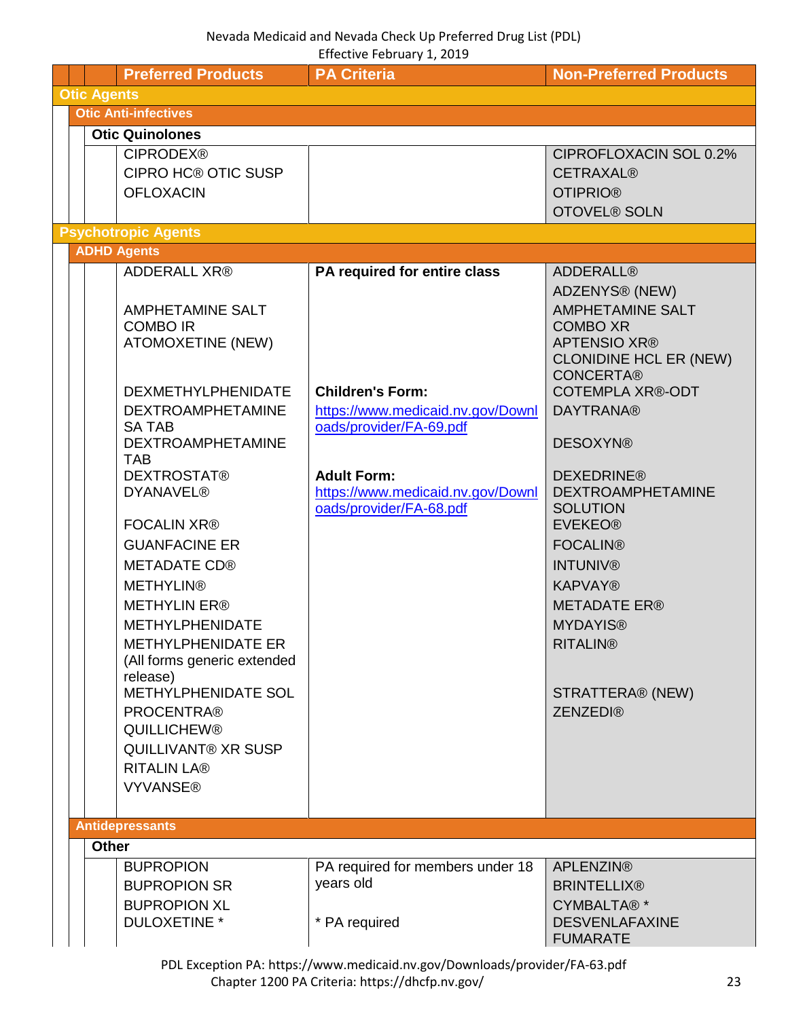<span id="page-22-4"></span><span id="page-22-3"></span><span id="page-22-2"></span><span id="page-22-1"></span><span id="page-22-0"></span>

|                    |                                            | LII CUUVE I CUI UAI Y 1, LUIJ                                |                                                      |
|--------------------|--------------------------------------------|--------------------------------------------------------------|------------------------------------------------------|
|                    | <b>Preferred Products</b>                  | <b>PA Criteria</b>                                           | <b>Non-Preferred Products</b>                        |
| <b>Otic Agents</b> | <b>Otic Anti-infectives</b>                |                                                              |                                                      |
|                    |                                            |                                                              |                                                      |
|                    | <b>Otic Quinolones</b>                     |                                                              |                                                      |
|                    | <b>CIPRODEX®</b>                           |                                                              | CIPROFLOXACIN SOL 0.2%                               |
|                    | <b>CIPRO HC® OTIC SUSP</b>                 |                                                              | <b>CETRAXAL®</b>                                     |
|                    | <b>OFLOXACIN</b>                           |                                                              | <b>OTIPRIO®</b>                                      |
|                    |                                            |                                                              | <b>OTOVEL® SOLN</b>                                  |
|                    | <b>Psychotropic Agents</b>                 |                                                              |                                                      |
|                    | <b>ADHD Agents</b>                         |                                                              |                                                      |
|                    | <b>ADDERALL XR®</b>                        | PA required for entire class                                 | <b>ADDERALL®</b>                                     |
|                    |                                            |                                                              | ADZENYS <sup>®</sup> (NEW)                           |
|                    | <b>AMPHETAMINE SALT</b>                    |                                                              | <b>AMPHETAMINE SALT</b>                              |
|                    | <b>COMBO IR</b>                            |                                                              | <b>COMBO XR</b>                                      |
|                    | <b>ATOMOXETINE (NEW)</b>                   |                                                              | <b>APTENSIO XR®</b><br><b>CLONIDINE HCL ER (NEW)</b> |
|                    |                                            |                                                              | <b>CONCERTA®</b>                                     |
|                    | <b>DEXMETHYLPHENIDATE</b>                  | <b>Children's Form:</b>                                      | <b>COTEMPLA XR®-ODT</b>                              |
|                    | <b>DEXTROAMPHETAMINE</b>                   | https://www.medicaid.nv.gov/Downl                            | <b>DAYTRANA®</b>                                     |
|                    | <b>SATAB</b>                               | oads/provider/FA-69.pdf                                      |                                                      |
|                    | <b>DEXTROAMPHETAMINE</b>                   |                                                              | <b>DESOXYN®</b>                                      |
|                    | <b>TAB</b>                                 |                                                              |                                                      |
|                    | <b>DEXTROSTAT®</b>                         | <b>Adult Form:</b>                                           | <b>DEXEDRINE®</b>                                    |
|                    | <b>DYANAVEL®</b>                           | https://www.medicaid.nv.gov/Downl<br>oads/provider/FA-68.pdf | <b>DEXTROAMPHETAMINE</b><br><b>SOLUTION</b>          |
|                    | <b>FOCALIN XR®</b>                         |                                                              | <b>EVEKEO®</b>                                       |
|                    | <b>GUANFACINE ER</b>                       |                                                              | <b>FOCALIN®</b>                                      |
|                    | <b>METADATE CD®</b>                        |                                                              | <b>INTUNIV®</b>                                      |
|                    | <b>METHYLIN®</b>                           |                                                              |                                                      |
|                    |                                            |                                                              | <b>KAPVAY®</b>                                       |
|                    | <b>METHYLIN ER®</b>                        |                                                              | <b>METADATE ER®</b>                                  |
|                    | <b>METHYLPHENIDATE</b>                     |                                                              | <b>MYDAYIS®</b>                                      |
|                    | <b>METHYLPHENIDATE ER</b>                  |                                                              | <b>RITALIN®</b>                                      |
|                    | (All forms generic extended<br>release)    |                                                              |                                                      |
|                    | METHYLPHENIDATE SOL                        |                                                              | STRATTERA® (NEW)                                     |
|                    | <b>PROCENTRA®</b>                          |                                                              | <b>ZENZEDI®</b>                                      |
|                    | <b>QUILLICHEW®</b>                         |                                                              |                                                      |
|                    | <b>QUILLIVANT® XR SUSP</b>                 |                                                              |                                                      |
|                    | <b>RITALIN LA®</b>                         |                                                              |                                                      |
|                    | <b>VYVANSE®</b>                            |                                                              |                                                      |
|                    |                                            |                                                              |                                                      |
|                    |                                            |                                                              |                                                      |
|                    |                                            |                                                              |                                                      |
|                    | <b>Antidepressants</b>                     |                                                              |                                                      |
| <b>Other</b>       |                                            |                                                              |                                                      |
|                    | <b>BUPROPION</b>                           | PA required for members under 18                             | <b>APLENZIN®</b>                                     |
|                    | <b>BUPROPION SR</b>                        | years old                                                    | <b>BRINTELLIX®</b>                                   |
|                    | <b>BUPROPION XL</b><br><b>DULOXETINE *</b> | * PA required                                                | CYMBALTA®*<br><b>DESVENLAFAXINE</b>                  |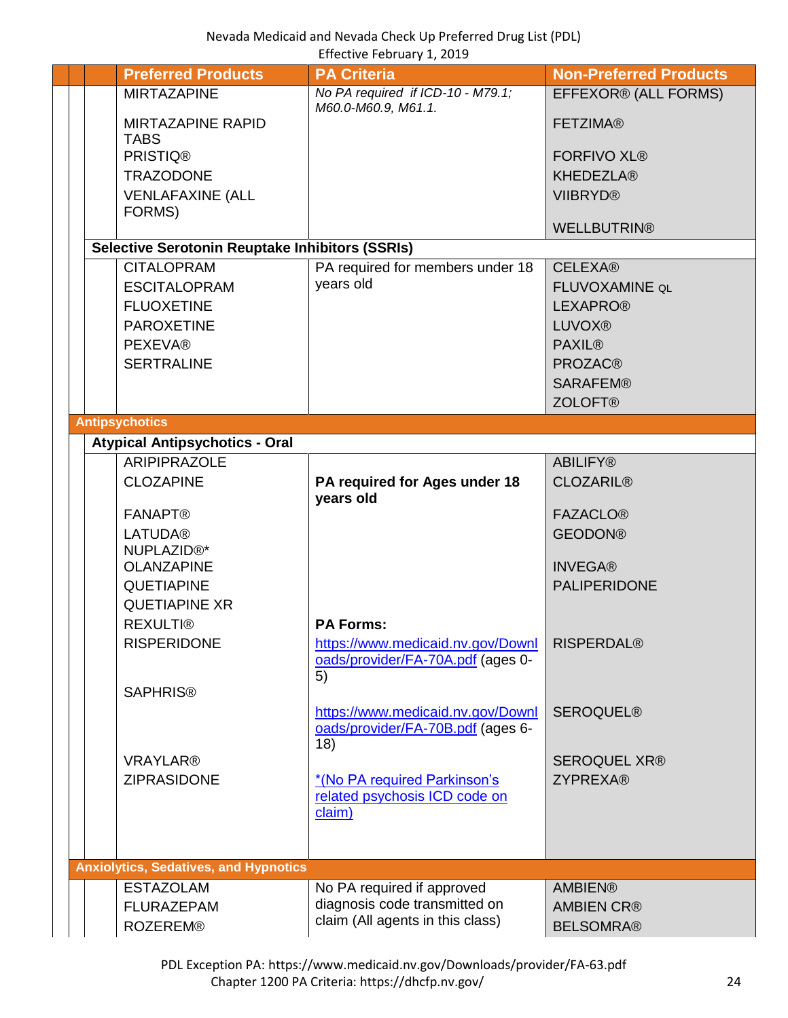<span id="page-23-1"></span><span id="page-23-0"></span>

|  | <b>Preferred Products</b>                              | <b>PA Criteria</b>                                            | <b>Non-Preferred Products</b>          |
|--|--------------------------------------------------------|---------------------------------------------------------------|----------------------------------------|
|  | <b>MIRTAZAPINE</b>                                     | No PA required if ICD-10 - M79.1;<br>M60.0-M60.9, M61.1.      | EFFEXOR® (ALL FORMS)                   |
|  | <b>MIRTAZAPINE RAPID</b>                               |                                                               | <b>FETZIMA®</b>                        |
|  | <b>TABS</b><br><b>PRISTIQ®</b>                         |                                                               | <b>FORFIVO XL®</b>                     |
|  | <b>TRAZODONE</b>                                       |                                                               | <b>KHEDEZLA®</b>                       |
|  | <b>VENLAFAXINE (ALL</b>                                |                                                               | <b>VIIBRYD®</b>                        |
|  | FORMS)                                                 |                                                               |                                        |
|  |                                                        |                                                               | <b>WELLBUTRIN®</b>                     |
|  | <b>Selective Serotonin Reuptake Inhibitors (SSRIs)</b> |                                                               |                                        |
|  | <b>CITALOPRAM</b>                                      | PA required for members under 18                              | <b>CELEXA®</b>                         |
|  | <b>ESCITALOPRAM</b>                                    | years old                                                     | FLUVOXAMINE QL                         |
|  | <b>FLUOXETINE</b>                                      |                                                               | <b>LEXAPRO®</b>                        |
|  | <b>PAROXETINE</b>                                      |                                                               | <b>LUVOX®</b>                          |
|  | <b>PEXEVA®</b>                                         |                                                               | <b>PAXIL®</b>                          |
|  | <b>SERTRALINE</b>                                      |                                                               | <b>PROZAC®</b>                         |
|  |                                                        |                                                               | <b>SARAFEM®</b>                        |
|  |                                                        |                                                               | <b>ZOLOFT®</b>                         |
|  | <b>Antipsychotics</b>                                  |                                                               |                                        |
|  | <b>Atypical Antipsychotics - Oral</b>                  |                                                               |                                        |
|  | <b>ARIPIPRAZOLE</b>                                    |                                                               | <b>ABILIFY®</b>                        |
|  | <b>CLOZAPINE</b>                                       | PA required for Ages under 18<br>years old                    | <b>CLOZARIL®</b>                       |
|  | <b>FANAPT®</b>                                         |                                                               | <b>FAZACLO®</b>                        |
|  | <b>LATUDA®</b>                                         |                                                               | <b>GEODON®</b>                         |
|  | NUPLAZID <sup>®*</sup>                                 |                                                               |                                        |
|  | <b>OLANZAPINE</b>                                      |                                                               | <b>INVEGA®</b>                         |
|  | QUETIAPINE                                             |                                                               | <b>PALIPERIDONE</b>                    |
|  | <b>QUETIAPINE XR</b>                                   |                                                               |                                        |
|  | <b>REXULTI®</b>                                        | <b>PA Forms:</b>                                              |                                        |
|  | <b>RISPERIDONE</b>                                     | https://www.medicaid.nv.gov/Downl                             | <b>RISPERDAL®</b>                      |
|  |                                                        | oads/provider/FA-70A.pdf (ages 0-                             |                                        |
|  |                                                        | 5)                                                            |                                        |
|  | <b>SAPHRIS®</b>                                        |                                                               |                                        |
|  |                                                        | https://www.medicaid.nv.gov/Downl                             | <b>SEROQUEL®</b>                       |
|  |                                                        | oads/provider/FA-70B.pdf (ages 6-                             |                                        |
|  | <b>VRAYLAR®</b>                                        | 18)                                                           |                                        |
|  | <b>ZIPRASIDONE</b>                                     |                                                               | <b>SEROQUEL XR®</b><br><b>ZYPREXA®</b> |
|  |                                                        | *(No PA required Parkinson's<br>related psychosis ICD code on |                                        |
|  |                                                        | claim)                                                        |                                        |
|  |                                                        |                                                               |                                        |
|  |                                                        |                                                               |                                        |
|  | <b>Anxiolytics, Sedatives, and Hypnotics</b>           |                                                               |                                        |
|  | <b>ESTAZOLAM</b>                                       | No PA required if approved                                    | <b>AMBIEN®</b>                         |
|  | <b>FLURAZEPAM</b>                                      | diagnosis code transmitted on                                 | <b>AMBIEN CR®</b>                      |
|  | <b>ROZEREM®</b>                                        | claim (All agents in this class)                              | <b>BELSOMRA®</b>                       |
|  |                                                        |                                                               |                                        |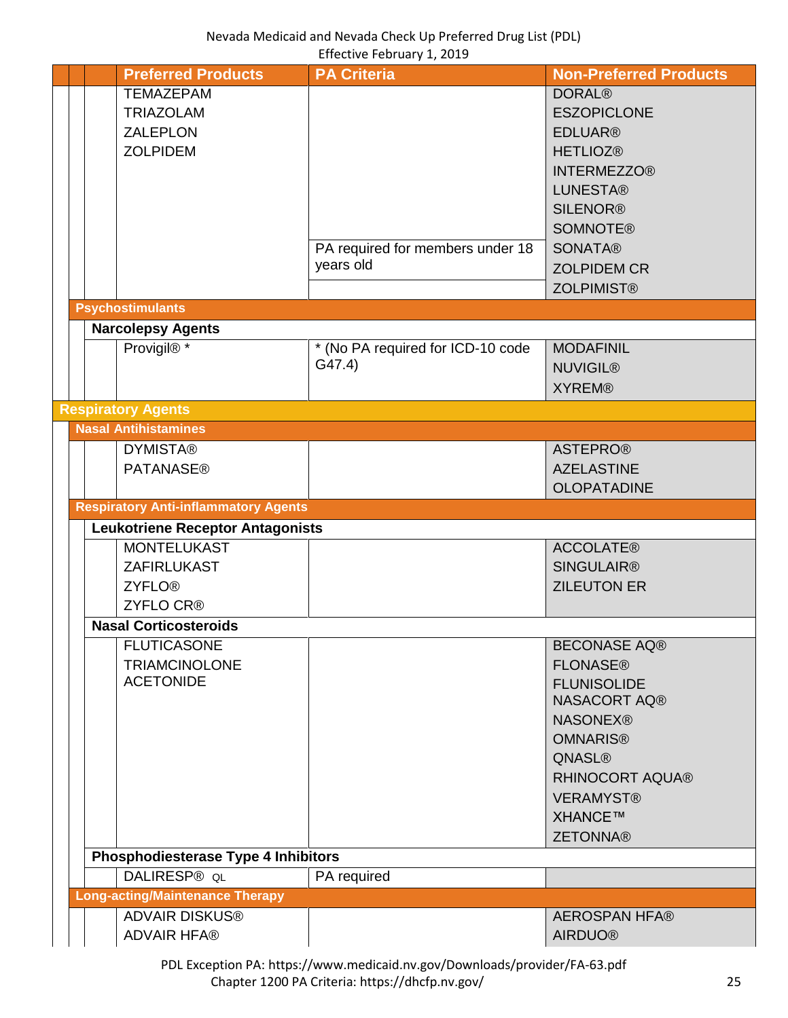<span id="page-24-4"></span><span id="page-24-3"></span><span id="page-24-2"></span><span id="page-24-1"></span><span id="page-24-0"></span>

|  | <b>Preferred Products</b>                   | <b>PA Criteria</b>                | <b>Non-Preferred Products</b> |  |  |  |  |
|--|---------------------------------------------|-----------------------------------|-------------------------------|--|--|--|--|
|  | <b>TEMAZEPAM</b>                            |                                   | <b>DORAL®</b>                 |  |  |  |  |
|  | <b>TRIAZOLAM</b>                            |                                   | <b>ESZOPICLONE</b>            |  |  |  |  |
|  | <b>ZALEPLON</b>                             |                                   | <b>EDLUAR®</b>                |  |  |  |  |
|  | <b>ZOLPIDEM</b>                             |                                   | <b>HETLIOZ®</b>               |  |  |  |  |
|  |                                             |                                   |                               |  |  |  |  |
|  |                                             |                                   | <b>INTERMEZZO®</b>            |  |  |  |  |
|  |                                             |                                   | <b>LUNESTA®</b>               |  |  |  |  |
|  |                                             |                                   | <b>SILENOR®</b>               |  |  |  |  |
|  |                                             |                                   | <b>SOMNOTE®</b>               |  |  |  |  |
|  |                                             | PA required for members under 18  | <b>SONATA®</b>                |  |  |  |  |
|  |                                             | years old                         |                               |  |  |  |  |
|  |                                             |                                   | <b>ZOLPIDEM CR</b>            |  |  |  |  |
|  |                                             |                                   | <b>ZOLPIMIST®</b>             |  |  |  |  |
|  | <b>Psychostimulants</b>                     |                                   |                               |  |  |  |  |
|  | <b>Narcolepsy Agents</b>                    |                                   |                               |  |  |  |  |
|  | Provigil®*                                  | * (No PA required for ICD-10 code | <b>MODAFINIL</b>              |  |  |  |  |
|  |                                             | G47.4)                            | <b>NUVIGIL®</b>               |  |  |  |  |
|  |                                             |                                   |                               |  |  |  |  |
|  |                                             |                                   | <b>XYREM®</b>                 |  |  |  |  |
|  | <b>Respiratory Agents</b>                   |                                   |                               |  |  |  |  |
|  | <b>Nasal Antihistamines</b>                 |                                   |                               |  |  |  |  |
|  | <b>DYMISTA®</b>                             |                                   | <b>ASTEPRO®</b>               |  |  |  |  |
|  | <b>PATANASE®</b>                            |                                   | <b>AZELASTINE</b>             |  |  |  |  |
|  |                                             |                                   | <b>OLOPATADINE</b>            |  |  |  |  |
|  | <b>Respiratory Anti-inflammatory Agents</b> |                                   |                               |  |  |  |  |
|  | <b>Leukotriene Receptor Antagonists</b>     |                                   |                               |  |  |  |  |
|  |                                             |                                   |                               |  |  |  |  |
|  | <b>MONTELUKAST</b>                          |                                   | <b>ACCOLATE®</b>              |  |  |  |  |
|  | ZAFIRLUKAST                                 |                                   | <b>SINGULAIR®</b>             |  |  |  |  |
|  | <b>ZYFLO®</b>                               |                                   | <b>ZILEUTON ER</b>            |  |  |  |  |
|  | <b>ZYFLO CR®</b>                            |                                   |                               |  |  |  |  |
|  | <b>Nasal Corticosteroids</b>                |                                   |                               |  |  |  |  |
|  | <b>FLUTICASONE</b>                          |                                   | <b>BECONASE AQ®</b>           |  |  |  |  |
|  |                                             |                                   | <b>FLONASE®</b>               |  |  |  |  |
|  | <b>TRIAMCINOLONE</b>                        |                                   |                               |  |  |  |  |
|  | <b>ACETONIDE</b>                            |                                   | <b>FLUNISOLIDE</b>            |  |  |  |  |
|  |                                             |                                   | NASACORT AQ®                  |  |  |  |  |
|  |                                             |                                   | <b>NASONEX®</b>               |  |  |  |  |
|  |                                             |                                   | <b>OMNARIS®</b>               |  |  |  |  |
|  |                                             |                                   | <b>QNASL®</b>                 |  |  |  |  |
|  |                                             |                                   | <b>RHINOCORT AQUA®</b>        |  |  |  |  |
|  |                                             |                                   |                               |  |  |  |  |
|  |                                             |                                   | <b>VERAMYST®</b>              |  |  |  |  |
|  |                                             |                                   | XHANCE™                       |  |  |  |  |
|  |                                             |                                   | <b>ZETONNA®</b>               |  |  |  |  |
|  | <b>Phosphodiesterase Type 4 Inhibitors</b>  |                                   |                               |  |  |  |  |
|  | DALIRESP® QL                                | PA required                       |                               |  |  |  |  |
|  | <b>Long-acting/Maintenance Therapy</b>      |                                   |                               |  |  |  |  |
|  | <b>ADVAIR DISKUS®</b>                       |                                   | <b>AEROSPAN HFA®</b>          |  |  |  |  |
|  | <b>ADVAIR HFA®</b>                          |                                   | <b>AIRDUO®</b>                |  |  |  |  |
|  |                                             |                                   |                               |  |  |  |  |